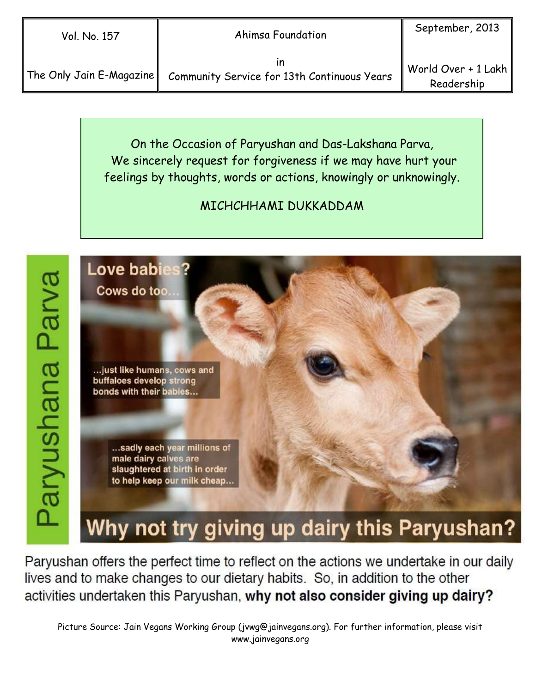The Only Jain E-Magazine

in Community Service for 13th Continuous Years

On the Occasion of Paryushan and Das-Lakshana Parva, We sincerely request for forgiveness if we may have hurt your feelings by thoughts, words or actions, knowingly or unknowingly.

# MICHCHHAMI DUKKADDAM



Why not try giving up dairy this Paryushan?

Paryushan offers the perfect time to reflect on the actions we undertake in our daily lives and to make changes to our dietary habits. So, in addition to the other activities undertaken this Paryushan, why not also consider giving up dairy?

Picture Source: Jain Vegans Working Group (jvwg@jainvegans.org). For further information, please visit www.jainvegans.org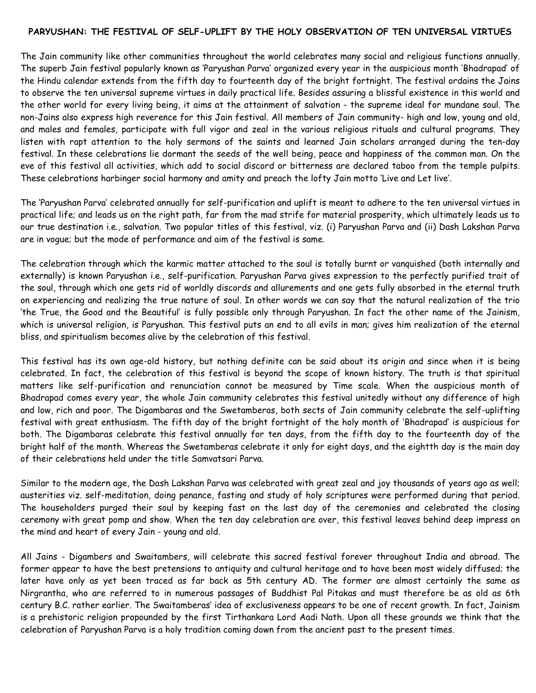#### PARYUSHAN: THE FESTIVAL OF SELF-UPLIFT BY THE HOLY OBSERVATION OF TEN UNIVERSAL VIRTUES

The Jain community like other communities throughout the world celebrates many social and religious functions annually. The superb Jain festival popularly known as 'Paryushan Parva' organized every year in the auspicious month 'Bhadrapad' of the Hindu calendar extends from the fifth day to fourteenth day of the bright fortnight. The festival ordains the Jains to observe the ten universal supreme virtues in daily practical life. Besides assuring a blissful existence in this world and the other world for every living being, it aims at the attainment of salvation - the supreme ideal for mundane soul. The non-Jains also express high reverence for this Jain festival. All members of Jain community- high and low, young and old, and males and females, participate with full vigor and zeal in the various religious rituals and cultural programs. They listen with rapt attention to the holy sermons of the saints and learned Jain scholars arranged during the ten-day festival. In these celebrations lie dormant the seeds of the well being, peace and happiness of the common man. On the eve of this festival all activities, which add to social discord or bitterness are declared taboo from the temple pulpits. These celebrations harbinger social harmony and amity and preach the lofty Jain motto 'Live and Let live'.

The 'Paryushan Parva' celebrated annually for self-purification and uplift is meant to adhere to the ten universal virtues in practical life; and leads us on the right path, far from the mad strife for material prosperity, which ultimately leads us to our true destination i.e., salvation. Two popular titles of this festival, viz. (i) Paryushan Parva and (ii) Dash Lakshan Parva are in vogue; but the mode of performance and aim of the festival is same.

The celebration through which the karmic matter attached to the soul is totally burnt or vanquished (both internally and externally) is known Paryushan i.e., self-purification. Paryushan Parva gives expression to the perfectly purified trait of the soul, through which one gets rid of worldly discords and allurements and one gets fully absorbed in the eternal truth on experiencing and realizing the true nature of soul. In other words we can say that the natural realization of the trio 'the True, the Good and the Beautiful' is fully possible only through Paryushan. In fact the other name of the Jainism, which is universal religion, is Paryushan. This festival puts an end to all evils in man; gives him realization of the eternal bliss, and spiritualism becomes alive by the celebration of this festival.

This festival has its own age-old history, but nothing definite can be said about its origin and since when it is being celebrated. In fact, the celebration of this festival is beyond the scope of known history. The truth is that spiritual matters like self-purification and renunciation cannot be measured by Time scale. When the auspicious month of Bhadrapad comes every year, the whole Jain community celebrates this festival unitedly without any difference of high and low, rich and poor. The Digambaras and the Swetamberas, both sects of Jain community celebrate the self-uplifting festival with great enthusiasm. The fifth day of the bright fortnight of the holy month of 'Bhadrapad' is auspicious for both. The Digambaras celebrate this festival annually for ten days, from the fifth day to the fourteenth day of the bright half of the month. Whereas the Swetamberas celebrate it only for eight days, and the eightth day is the main day of their celebrations held under the title Samvatsari Parva.

Similar to the modern age, the Dash Lakshan Parva was celebrated with great zeal and joy thousands of years ago as well; austerities viz. self-meditation, doing penance, fasting and study of holy scriptures were performed during that period. The householders purged their soul by keeping fast on the last day of the ceremonies and celebrated the closing ceremony with great pomp and show. When the ten day celebration are over, this festival leaves behind deep impress on the mind and heart of every Jain - young and old.

All Jains - Digambers and Swaitambers, will celebrate this sacred festival forever throughout India and abroad. The former appear to have the best pretensions to antiquity and cultural heritage and to have been most widely diffused; the later have only as yet been traced as far back as 5th century AD. The former are almost certainly the same as Nirgrantha, who are referred to in numerous passages of Buddhist Pal Pitakas and must therefore be as old as 6th century B.C. rather earlier. The Swaitamberas' idea of exclusiveness appears to be one of recent growth. In fact, Jainism is a prehistoric religion propounded by the first Tirthankara Lord Aadi Nath. Upon all these grounds we think that the celebration of Paryushan Parva is a holy tradition coming down from the ancient past to the present times.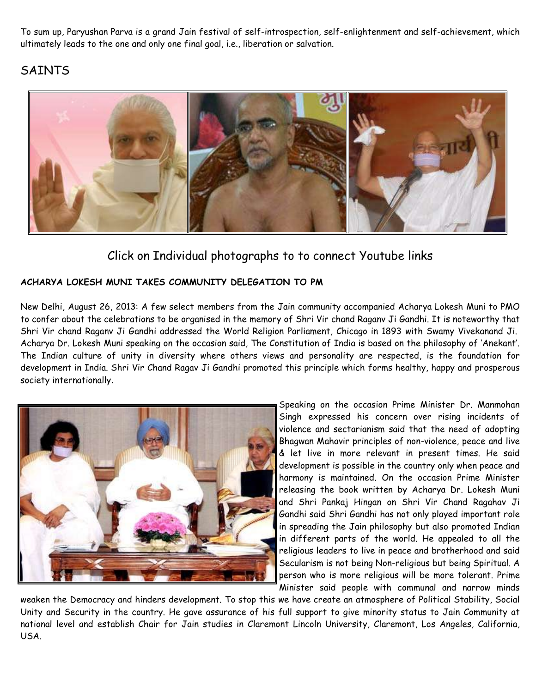To sum up, Paryushan Parva is a grand Jain festival of self-introspection, self-enlightenment and self-achievement, which ultimately leads to the one and only one final goal, i.e., liberation or salvation.

# SAINTS



# Click on Individual photographs to to connect Youtube links

## ACHARYA LOKESH MUNI TAKES COMMUNITY DELEGATION TO PM

New Delhi, August 26, 2013: A few select members from the Jain community accompanied Acharya Lokesh Muni to PMO to confer about the celebrations to be organised in the memory of Shri Vir chand Raganv Ji Gandhi. It is noteworthy that Shri Vir chand Raganv Ji Gandhi addressed the World Religion Parliament, Chicago in 1893 with Swamy Vivekanand Ji. Acharya Dr. Lokesh Muni speaking on the occasion said, The Constitution of India is based on the philosophy of 'Anekant'. The Indian culture of unity in diversity where others views and personality are respected, is the foundation for development in India. Shri Vir Chand Ragav Ji Gandhi promoted this principle which forms healthy, happy and prosperous society internationally.



Speaking on the occasion Prime Minister Dr. Manmohan Singh expressed his concern over rising incidents of violence and sectarianism said that the need of adopting Bhagwan Mahavir principles of non-violence, peace and live & let live in more relevant in present times. He said development is possible in the country only when peace and harmony is maintained. On the occasion Prime Minister releasing the book written by Acharya Dr. Lokesh Muni and Shri Pankaj Hingan on Shri Vir Chand Ragahav Ji Gandhi said Shri Gandhi has not only played important role in spreading the Jain philosophy but also promoted Indian in different parts of the world. He appealed to all the religious leaders to live in peace and brotherhood and said Secularism is not being Non-religious but being Spiritual. A person who is more religious will be more tolerant. Prime Minister said people with communal and narrow minds

weaken the Democracy and hinders development. To stop this we have create an atmosphere of Political Stability, Social Unity and Security in the country. He gave assurance of his full support to give minority status to Jain Community at national level and establish Chair for Jain studies in Claremont Lincoln University, Claremont, Los Angeles, California, USA.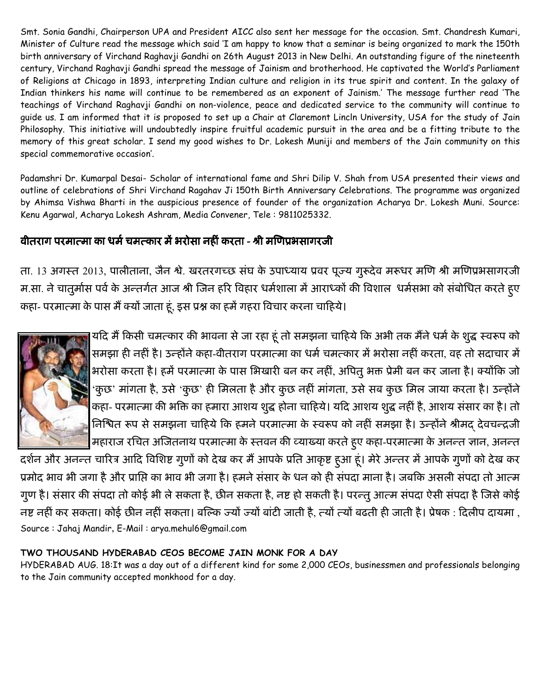Smt. Sonia Gandhi, Chairperson UPA and President AICC also sent her message for the occasion. Smt. Chandresh Kumari, Minister of Culture read the message which said 'I am happy to know that a seminar is being organized to mark the 150th birth anniversary of Virchand Raghavji Gandhi on 26th August 2013 in New Delhi. An outstanding figure of the nineteenth century, Virchand Raghavji Gandhi spread the message of Jainism and brotherhood. He captivated the World's Parliament of Religions at Chicago in 1893, interpreting Indian culture and religion in its true spirit and content. In the galaxy of Indian thinkers his name will continue to be remembered as an exponent of Jainism.' The message further read 'The teachings of Virchand Raghavji Gandhi on non-violence, peace and dedicated service to the community will continue to guide us. I am informed that it is proposed to set up a Chair at Claremont Lincln University, USA for the study of Jain Philosophy. This initiative will undoubtedly inspire fruitful academic pursuit in the area and be a fitting tribute to the memory of this great scholar. I send my good wishes to Dr. Lokesh Muniji and members of the Jain community on this special commemorative occasion'.

Padamshri Dr. Kumarpal Desai- Scholar of international fame and Shri Dilip V. Shah from USA presented their views and outline of celebrations of Shri Virchand Ragahav Ji 150th Birth Anniversary Celebrations. The programme was organized by Ahimsa Vishwa Bharti in the auspicious presence of founder of the organization Acharya Dr. Lokesh Muni. Source: Kenu Agarwal, Acharya Lokesh Ashram, Media Convener, Tele : 9811025332.

# वीतराग परमात्मा का धर्म चमत्कार में भरोसा नहीं करता - श्री मणिप्रभसागरजी

ता. 13 अगस्त 2013, पालीताना, जैन श्वे. खरतरगच्छ सघ के उपाध्याय प्रवर पूज्य गुरूदेव मरूधर मणि श्री मणिप्रभसागरजी म.सा. ने चातुमोस पर्व के अन्तर्गत आज श्री जिन हरि विहार धर्मशाला में आराध्कों की विशाल धर्मसभा को सर्बोधित करते हुए कहा- परमात्मा के पास मै क्यो जाता हूं, इस प्रश्न का हमे गहरा विचार करना चाहिये।



यदि मैं किसी चमत्कार की भावना से जा रहा हूं तो समझना चाहिये कि अभी तक मैंने धर्म के शुद्ध स्वरूप को समझा ही नहीं है। उन्होंने कहा-वीतराग परमात्मा का धर्म चमत्कार में भरोसा नहीं करता, वह तो सदाचार में भरोसा करता है। हमें परमात्मा के पास भिखारी बन कर नहीं, अपितु भक्त प्रेमी बन कर जाना है। क्योंकि जो 'कुछ' मागता है, उसे 'कुछ' ही मिलता है और कुछ नहीं मागता, उसे सब कुछ मिल जाया करता है। उन्होंने कहा- परमात्मा की भक्ति का हमारा आशय शुद्ध होना चाहिये। यदि आशय शुद्ध नहीं है, आशय ससार का है। तो निश्चित रूप से समझना चाहिये कि हमने परमात्मा के स्वरूप को नहीं समझा है। उन्होंने श्रीमद् देवचन्द्रजी महाराज रचित अजितनाथ परमात्मा के स्तवन की व्याख्या करते हुए कहा-परमात्मा के अनन्त ज्ञान, अनन्त

दर्शन और अनन्त चारित्र आदि विशिष्ट गुणों को देख कर मैं आपके प्रति आकृष्ट हुआ हूं। मेरे अन्तर में आपके गुणों को देख कर प्रमोद भाव भी जगा है और प्राप्ति का भाव भी जगा है। हमने ससार के धन को ही सपदा माना है। जबकि असली सपदा तो आत्म गुण है। ससार की सपदा तो कोई भी ले सकता है, छीन सकता है, नष्ट हो सकती है। परन्तु आत्म सपदा ऐसी सपदा है जिसे कोई नष्ट नहीं कर सकता। कोई छीन नहीं सकता। बल्कि ज्यों ज्यों बाटी जाती है, त्यों त्यों बढती ही जाती है। प्रेषक : दिलीप दायमा , Source : Jahaj Mandir, E-Mail : arya.mehul6@gmail.com

## TWO THOUSAND HYDERABAD CEOS BECOME JAIN MONK FOR A DAY

HYDERABAD AUG. 18:It was a day out of a different kind for some 2,000 CEOs, businessmen and professionals belonging to the Jain community accepted monkhood for a day.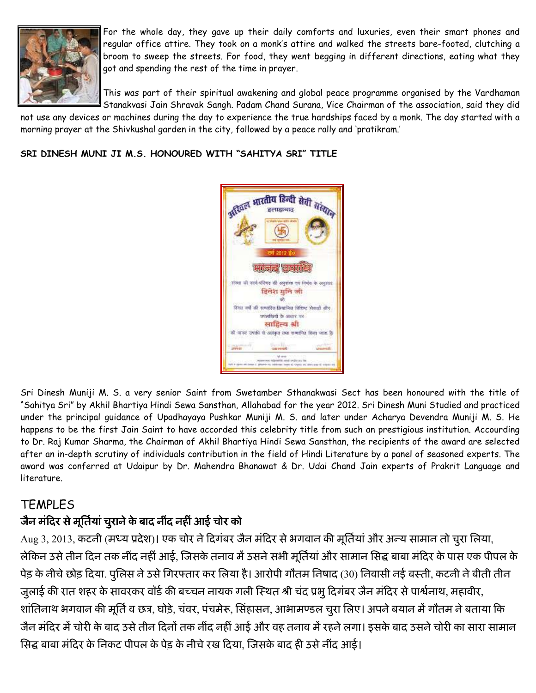

For the whole day, they gave up their daily comforts and luxuries, even their smart phones and regular office attire. They took on a monk's attire and walked the streets bare-footed, clutching a broom to sweep the streets. For food, they went begging in different directions, eating what they got and spending the rest of the time in prayer.

This was part of their spiritual awakening and global peace programme organised by the Vardhaman Stanakvasi Jain Shravak Sangh. Padam Chand Surana, Vice Chairman of the association, said they did

not use any devices or machines during the day to experience the true hardships faced by a monk. The day started with a morning prayer at the Shivkushal garden in the city, followed by a peace rally and 'pratikram.'

SRI DINESH MUNI JI M.S. HONOURED WITH "SAHITYA SRI" TITLE



Sri Dinesh Muniji M. S. a very senior Saint from Swetamber Sthanakwasi Sect has been honoured with the title of "Sahitya Sri" by Akhil Bhartiya Hindi Sewa Sansthan, Allahabad for the year 2012. Sri Dinesh Muni Studied and practiced under the principal guidance of Upadhayaya Pushkar Muniji M. S. and later under Acharya Devendra Muniji M. S. He happens to be the first Jain Saint to have accorded this celebrity title from such an prestigious institution. Accourding to Dr. Raj Kumar Sharma, the Chairman of Akhil Bhartiya Hindi Sewa Sansthan, the recipients of the award are selected after an in-depth scrutiny of individuals contribution in the field of Hindi Literature by a panel of seasoned experts. The award was conferred at Udaipur by Dr. Mahendra Bhanawat & Dr. Udai Chand Jain experts of Prakrit Language and literature.

## **TEMPLES**

## जैन मंदिर से मूर्तिया चुराने के बाद नींद नहीं आई चोर को

Aug 3, 2013, कटनी (मध्य प्रदेश)। एक चोर ने दिगबर जैन मंदिर से भगवान की मूर्तिया और अन्य सामान तो चुरा लिया, लेकिन उसे तीन दिन तक नींद नहीं आई, जिसके तनाव में उसने सभी मूर्तिया और सामान सिद्ध बाबा मंदिर के पास एक पीपल के पेड़ के नीचे छोड़ दिया. पुलिस ने उसे गिरफ्तार कर लिया है। आरोपी गौतम निषाद (30) निवासी नई बस्ती, कटनी ने बीती तीन जुलाई की रात शहर के सावरकर वॉर्ड की बच्चन नायक गली स्थित श्री चंद प्रभु दिगंबर जैन मंदिर से पार्श्वनाथ, महावीर, शातिनाथ भगवान की मूर्ति व छत्र, घोड़े, चवर, पचमेरू, सिहासन, आभामण्डल चुरा लिए। अपने बयान मे गौतम ने बताया कि जैन मोदेर में चोरी के बाद उसे तीन दिनों तक नींद नहीं आई और वह तनाव में रहने लगा। इसके बाद उसने चोरी का सारा सामान सिद्ध बाबा मंदिर के निकट पीपल के पेड़ के नीचे रख दिया, जिसके बाद ही उसे नीद आई।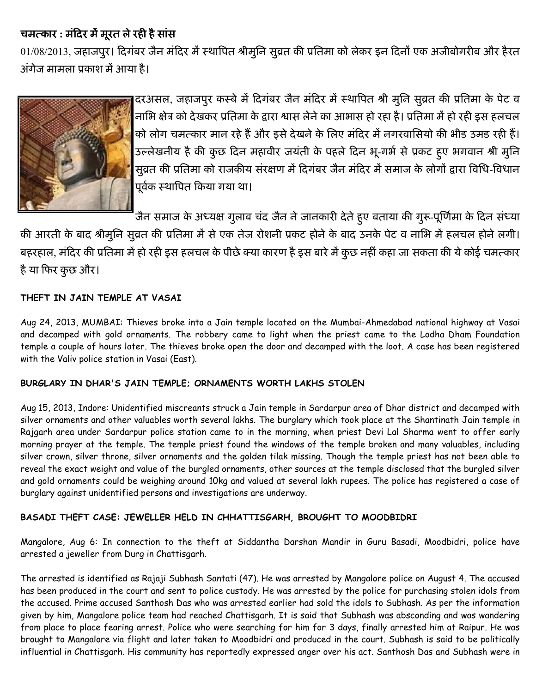## चमत्कार : मंदिर में मूरत ले रही है सांस

01/08/2013, जहाजपुर। दिगंबर जैन मंदिर में स्थापित श्रीमुनि सुव्रत की प्रतिमा को लेकर इन दिनों एक अजीबोगरीब और हैरत अंगेज मामला प्रकाश में आया है।



दरअसल, जहाजपूर कस्बे में दिगंबर जैन मंदिर में स्थापित श्री मुनि सूव्रत की प्रतिमा के पेट व नाभि क्षेत्र को देखकर प्रतिमा के द्वारा श्वास लेने का आभास हो रहा है। प्रतिमा में हो रही इस हलचल को लोग चमत्कार मान रहे हैं और इसे देखने के लिए मंदिर में नगरवासियो की भीड उमड रही हैं। उल्लेखनीय है की कुछ दिन महावीर जयंती के पहले दिन भू-गर्भ से प्रकट हुए भगवान श्री मुनि सुव्रत की प्रतिमा को राजकीय संरक्षण में दिगंबर जैन मंदिर में समाज के लोगों द्वारा विधि-विधान पूर्वक स्थापित किया गया था।

जैन समाज के अध्यक्ष गुलाब चंद जैन ने जानकारी देते हुए बताया की गुरू-पूर्णिमा के दिन संध्या

की आरती के बाद श्रीमुनि सुव्रत की प्रतिमा में से एक तेज रोशनी प्रकट होने के बाद उनके पेट व नाभि में हलचल होने लगी। बहरहाल, मंदिर की प्रतिमा में हो रही इस हलचल के पीछे क्या कारण है इस बारे में कुछ नहीं कहा जा सकता की ये कोई चमत्कार है या फिर कुछ और।

## THEFT IN JAIN TEMPLE AT VASAI

Aug 24, 2013, MUMBAI: Thieves broke into a Jain temple located on the Mumbai-Ahmedabad national highway at Vasai and decamped with gold ornaments. The robbery came to light when the priest came to the Lodha Dham Foundation temple a couple of hours later. The thieves broke open the door and decamped with the loot. A case has been registered with the Valiv police station in Vasai (East).

## BURGLARY IN DHAR'S JAIN TEMPLE; ORNAMENTS WORTH LAKHS STOLEN

Aug 15, 2013, Indore: Unidentified miscreants struck a Jain temple in Sardarpur area of Dhar district and decamped with silver ornaments and other valuables worth several lakhs. The burglary which took place at the Shantinath Jain temple in Rajgarh area under Sardarpur police station came to in the morning, when priest Devi Lal Sharma went to offer early morning prayer at the temple. The temple priest found the windows of the temple broken and many valuables, including silver crown, silver throne, silver ornaments and the golden tilak missing. Though the temple priest has not been able to reveal the exact weight and value of the burgled ornaments, other sources at the temple disclosed that the burgled silver and gold ornaments could be weighing around 10kg and valued at several lakh rupees. The police has registered a case of burglary against unidentified persons and investigations are underway.

## BASADI THEFT CASE: JEWELLER HELD IN CHHATTISGARH, BROUGHT TO MOODBIDRI

Mangalore, Aug 6: In connection to the theft at Siddantha Darshan Mandir in Guru Basadi, Moodbidri, police have arrested a jeweller from Durg in Chattisgarh.

The arrested is identified as Rajaji Subhash Santati (47). He was arrested by Mangalore police on August 4. The accused has been produced in the court and sent to police custody. He was arrested by the police for purchasing stolen idols from the accused. Prime accused Santhosh Das who was arrested earlier had sold the idols to Subhash. As per the information given by him, Mangalore police team had reached Chattisgarh. It is said that Subhash was absconding and was wandering from place to place fearing arrest. Police who were searching for him for 3 days, finally arrested him at Raipur. He was brought to Mangalore via flight and later taken to Moodbidri and produced in the court. Subhash is said to be politically influential in Chattisgarh. His community has reportedly expressed anger over his act. Santhosh Das and Subhash were in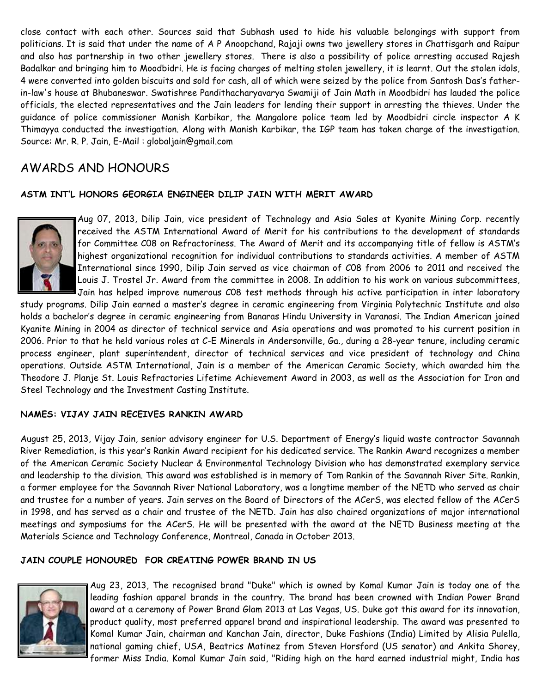close contact with each other. Sources said that Subhash used to hide his valuable belongings with support from politicians. It is said that under the name of A P Anoopchand, Rajaji owns two jewellery stores in Chattisgarh and Raipur and also has partnership in two other jewellery stores. There is also a possibility of police arresting accused Rajesh Badalkar and bringing him to Moodbidri. He is facing charges of melting stolen jewellery, it is learnt. Out the stolen idols, 4 were converted into golden biscuits and sold for cash, all of which were seized by the police from Santosh Das's fatherin-law's house at Bhubaneswar. Swatishree Pandithacharyavarya Swamiji of Jain Math in Moodbidri has lauded the police officials, the elected representatives and the Jain leaders for lending their support in arresting the thieves. Under the guidance of police commissioner Manish Karbikar, the Mangalore police team led by Moodbidri circle inspector A K Thimayya conducted the investigation. Along with Manish Karbikar, the IGP team has taken charge of the investigation. Source: Mr. R. P. Jain, E-Mail : globaljain@gmail.com

## AWARDS AND HONOURS

### ASTM INT'L HONORS GEORGIA ENGINEER DILIP JAIN WITH MERIT AWARD



Aug 07, 2013, Dilip Jain, vice president of Technology and Asia Sales at Kyanite Mining Corp. recently received the ASTM International Award of Merit for his contributions to the development of standards for Committee C08 on Refractoriness. The Award of Merit and its accompanying title of fellow is ASTM's highest organizational recognition for individual contributions to standards activities. A member of ASTM International since 1990, Dilip Jain served as vice chairman of C08 from 2006 to 2011 and received the Louis J. Trostel Jr. Award from the committee in 2008. In addition to his work on various subcommittees, Jain has helped improve numerous C08 test methods through his active participation in inter laboratory

study programs. Dilip Jain earned a master's degree in ceramic engineering from Virginia Polytechnic Institute and also holds a bachelor's degree in ceramic engineering from Banaras Hindu University in Varanasi. The Indian American joined Kyanite Mining in 2004 as director of technical service and Asia operations and was promoted to his current position in 2006. Prior to that he held various roles at C-E Minerals in Andersonville, Ga., during a 28-year tenure, including ceramic process engineer, plant superintendent, director of technical services and vice president of technology and China operations. Outside ASTM International, Jain is a member of the American Ceramic Society, which awarded him the Theodore J. Planje St. Louis Refractories Lifetime Achievement Award in 2003, as well as the Association for Iron and Steel Technology and the Investment Casting Institute.

### NAMES: VIJAY JAIN RECEIVES RANKIN AWARD

August 25, 2013, Vijay Jain, senior advisory engineer for U.S. Department of Energy's liquid waste contractor Savannah River Remediation, is this year's Rankin Award recipient for his dedicated service. The Rankin Award recognizes a member of the American Ceramic Society Nuclear & Environmental Technology Division who has demonstrated exemplary service and leadership to the division. This award was established is in memory of Tom Rankin of the Savannah River Site. Rankin, a former employee for the Savannah River National Laboratory, was a longtime member of the NETD who served as chair and trustee for a number of years. Jain serves on the Board of Directors of the ACerS, was elected fellow of the ACerS in 1998, and has served as a chair and trustee of the NETD. Jain has also chaired organizations of major international meetings and symposiums for the ACerS. He will be presented with the award at the NETD Business meeting at the Materials Science and Technology Conference, Montreal, Canada in October 2013.

#### JAIN COUPLE HONOURED FOR CREATING POWER BRAND IN US



Aug 23, 2013, The recognised brand "Duke" which is owned by Komal Kumar Jain is today one of the leading fashion apparel brands in the country. The brand has been crowned with Indian Power Brand award at a ceremony of Power Brand Glam 2013 at Las Vegas, US. Duke got this award for its innovation, product quality, most preferred apparel brand and inspirational leadership. The award was presented to Komal Kumar Jain, chairman and Kanchan Jain, director, Duke Fashions (India) Limited by Alisia Pulella, national gaming chief, USA, Beatrics Matinez from Steven Horsford (US senator) and Ankita Shorey, former Miss India. Komal Kumar Jain said, "Riding high on the hard earned industrial might, India has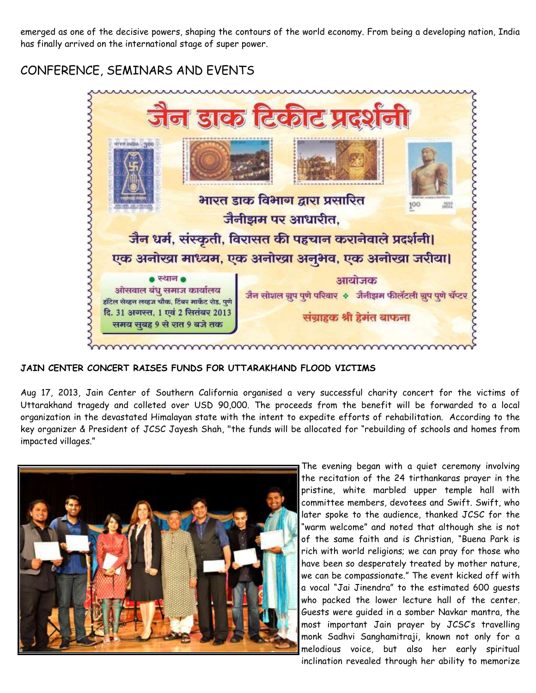emerged as one of the decisive powers, shaping the contours of the world economy. From being a developing nation, India has finally arrived on the international stage of super power.

# CONFERENCE, SEMINARS AND EVENTS



## JAIN CENTER CONCERT RAISES FUNDS FOR UTTARAKHAND FLOOD VICTIMS

Aug 17, 2013, Jain Center of Southern California organised a very successful charity concert for the victims of Uttarakhand tragedy and colleted over USD 90,000. The proceeds from the benefit will be forwarded to a local organization in the devastated Himalayan state with the intent to expedite efforts of rehabilitation. According to the key organizer & President of JCSC Jayesh Shah, "the funds will be allocated for "rebuilding of schools and homes from impacted villages."



The evening began with a quiet ceremony involving the recitation of the 24 tirthankaras prayer in the pristine, white marbled upper temple hall with committee members, devotees and Swift. Swift, who later spoke to the audience, thanked JCSC for the "warm welcome" and noted that although she is not of the same faith and is Christian, "Buena Park is rich with world religions; we can pray for those who have been so desperately treated by mother nature, we can be compassionate." The event kicked off with a vocal "Jai Jinendra" to the estimated 600 guests who packed the lower lecture hall of the center. Guests were guided in a somber Navkar mantra, the most important Jain prayer by JCSC's travelling monk Sadhvi Sanghamitraji, known not only for a melodious voice, but also her early spiritual inclination revealed through her ability to memorize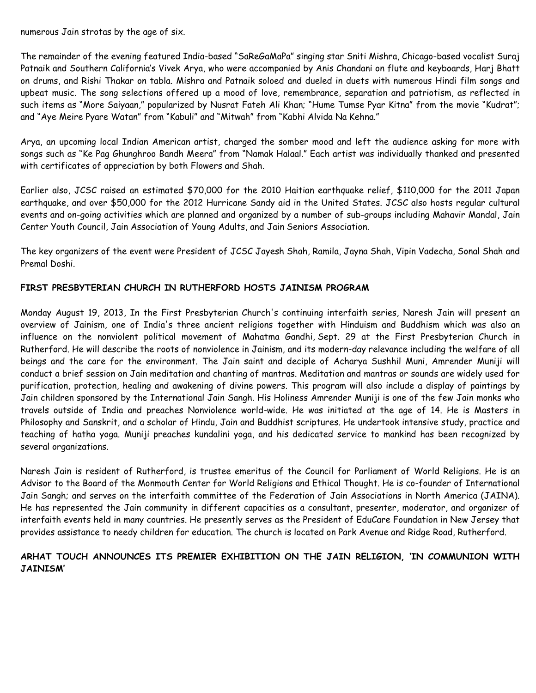numerous Jain strotas by the age of six.

The remainder of the evening featured India-based "SaReGaMaPa" singing star Sniti Mishra, Chicago-based vocalist Suraj Patnaik and Southern California's Vivek Arya, who were accompanied by Anis Chandani on flute and keyboards, Harj Bhatt on drums, and Rishi Thakar on tabla. Mishra and Patnaik soloed and dueled in duets with numerous Hindi film songs and upbeat music. The song selections offered up a mood of love, remembrance, separation and patriotism, as reflected in such items as "More Saiyaan," popularized by Nusrat Fateh Ali Khan; "Hume Tumse Pyar Kitna" from the movie "Kudrat"; and "Aye Meire Pyare Watan" from "Kabuli" and "Mitwah" from "Kabhi Alvida Na Kehna."

Arya, an upcoming local Indian American artist, charged the somber mood and left the audience asking for more with songs such as "Ke Pag Ghunghroo Bandh Meera" from "Namak Halaal." Each artist was individually thanked and presented with certificates of appreciation by both Flowers and Shah.

Earlier also, JCSC raised an estimated \$70,000 for the 2010 Haitian earthquake relief, \$110,000 for the 2011 Japan earthquake, and over \$50,000 for the 2012 Hurricane Sandy aid in the United States. JCSC also hosts regular cultural events and on-going activities which are planned and organized by a number of sub-groups including Mahavir Mandal, Jain Center Youth Council, Jain Association of Young Adults, and Jain Seniors Association.

The key organizers of the event were President of JCSC Jayesh Shah, Ramila, Jayna Shah, Vipin Vadecha, Sonal Shah and Premal Doshi.

### FIRST PRESBYTERIAN CHURCH IN RUTHERFORD HOSTS JAINISM PROGRAM

Monday August 19, 2013, In the First Presbyterian Church's continuing interfaith series, Naresh Jain will present an overview of Jainism, one of India's three ancient religions together with Hinduism and Buddhism which was also an influence on the nonviolent political movement of Mahatma Gandhi, Sept. 29 at the First Presbyterian Church in Rutherford. He will describe the roots of nonviolence in Jainism, and its modern-day relevance including the welfare of all beings and the care for the environment. The Jain saint and deciple of Acharya Sushhil Muni, Amrender Muniji will conduct a brief session on Jain meditation and chanting of mantras. Meditation and mantras or sounds are widely used for purification, protection, healing and awakening of divine powers. This program will also include a display of paintings by Jain children sponsored by the International Jain Sangh. His Holiness Amrender Muniji is one of the few Jain monks who travels outside of India and preaches Nonviolence world-wide. He was initiated at the age of 14. He is Masters in Philosophy and Sanskrit, and a scholar of Hindu, Jain and Buddhist scriptures. He undertook intensive study, practice and teaching of hatha yoga. Muniji preaches kundalini yoga, and his dedicated service to mankind has been recognized by several organizations.

Naresh Jain is resident of Rutherford, is trustee emeritus of the Council for Parliament of World Religions. He is an Advisor to the Board of the Monmouth Center for World Religions and Ethical Thought. He is co-founder of International Jain Sangh; and serves on the interfaith committee of the Federation of Jain Associations in North America (JAINA). He has represented the Jain community in different capacities as a consultant, presenter, moderator, and organizer of interfaith events held in many countries. He presently serves as the President of EduCare Foundation in New Jersey that provides assistance to needy children for education. The church is located on Park Avenue and Ridge Road, Rutherford.

### ARHAT TOUCH ANNOUNCES ITS PREMIER EXHIBITION ON THE JAIN RELIGION, 'IN COMMUNION WITH JAINISM'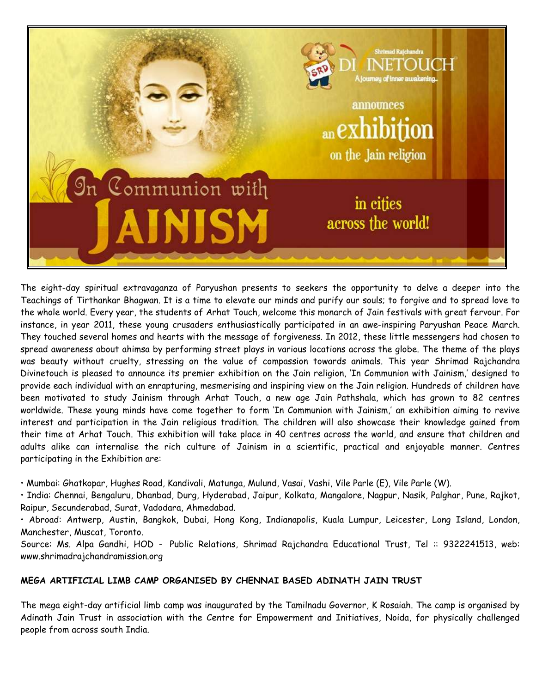

The eight-day spiritual extravaganza of Paryushan presents to seekers the opportunity to delve a deeper into the Teachings of Tirthankar Bhagwan. It is a time to elevate our minds and purify our souls; to forgive and to spread love to the whole world. Every year, the students of Arhat Touch, welcome this monarch of Jain festivals with great fervour. For instance, in year 2011, these young crusaders enthusiastically participated in an awe-inspiring Paryushan Peace March. They touched several homes and hearts with the message of forgiveness. In 2012, these little messengers had chosen to spread awareness about ahimsa by performing street plays in various locations across the globe. The theme of the plays was beauty without cruelty, stressing on the value of compassion towards animals. This year Shrimad Rajchandra Divinetouch is pleased to announce its premier exhibition on the Jain religion, 'In Communion with Jainism,' designed to provide each individual with an enrapturing, mesmerising and inspiring view on the Jain religion. Hundreds of children have been motivated to study Jainism through Arhat Touch, a new age Jain Pathshala, which has grown to 82 centres worldwide. These young minds have come together to form 'In Communion with Jainism,' an exhibition aiming to revive interest and participation in the Jain religious tradition. The children will also showcase their knowledge gained from their time at Arhat Touch. This exhibition will take place in 40 centres across the world, and ensure that children and adults alike can internalise the rich culture of Jainism in a scientific, practical and enjoyable manner. Centres participating in the Exhibition are:

• Mumbai: Ghatkopar, Hughes Road, Kandivali, Matunga, Mulund, Vasai, Vashi, Vile Parle (E), Vile Parle (W).

• India: Chennai, Bengaluru, Dhanbad, Durg, Hyderabad, Jaipur, Kolkata, Mangalore, Nagpur, Nasik, Palghar, Pune, Rajkot, Raipur, Secunderabad, Surat, Vadodara, Ahmedabad.

• Abroad: Antwerp, Austin, Bangkok, Dubai, Hong Kong, Indianapolis, Kuala Lumpur, Leicester, Long Island, London, Manchester, Muscat, Toronto.

Source: Ms. Alpa Gandhi, HOD - Public Relations, Shrimad Rajchandra Educational Trust, Tel :: 9322241513, web: www.shrimadrajchandramission.org

### MEGA ARTIFICIAL LIMB CAMP ORGANISED BY CHENNAI BASED ADINATH JAIN TRUST

The mega eight-day artificial limb camp was inaugurated by the Tamilnadu Governor, K Rosaiah. The camp is organised by Adinath Jain Trust in association with the Centre for Empowerment and Initiatives, Noida, for physically challenged people from across south India.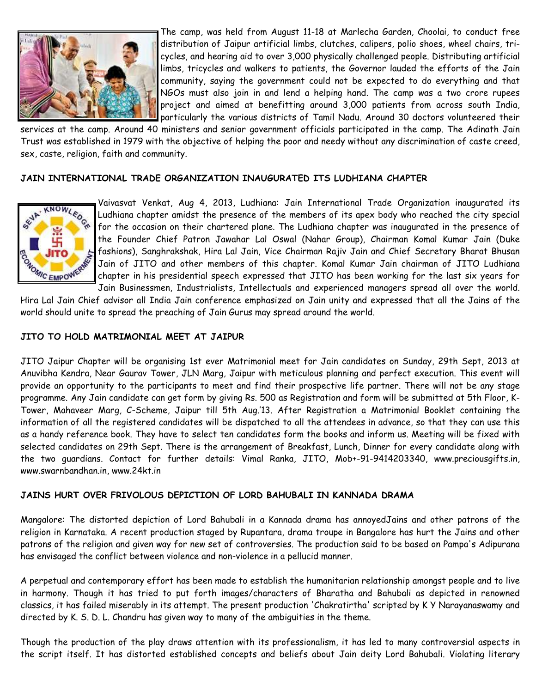

The camp, was held from August 11-18 at Marlecha Garden, Choolai, to conduct free distribution of Jaipur artificial limbs, clutches, calipers, polio shoes, wheel chairs, tricycles, and hearing aid to over 3,000 physically challenged people. Distributing artificial limbs, tricycles and walkers to patients, the Governor lauded the efforts of the Jain community, saying the government could not be expected to do everything and that NGOs must also join in and lend a helping hand. The camp was a two crore rupees project and aimed at benefitting around 3,000 patients from across south India, particularly the various districts of Tamil Nadu. Around 30 doctors volunteered their

services at the camp. Around 40 ministers and senior government officials participated in the camp. The Adinath Jain Trust was established in 1979 with the objective of helping the poor and needy without any discrimination of caste creed, sex, caste, religion, faith and community.

#### JAIN INTERNATIONAL TRADE ORGANIZATION INAUGURATED ITS LUDHIANA CHAPTER



Vaivasvat Venkat, Aug 4, 2013, Ludhiana: Jain International Trade Organization inaugurated its Ludhiana chapter amidst the presence of the members of its apex body who reached the city special for the occasion on their chartered plane. The Ludhiana chapter was inaugurated in the presence of the Founder Chief Patron Jawahar Lal Oswal (Nahar Group), Chairman Komal Kumar Jain (Duke fashions), Sanghrakshak, Hira Lal Jain, Vice Chairman Rajiv Jain and Chief Secretary Bharat Bhusan Jain of JITO and other members of this chapter. Komal Kumar Jain chairman of JITO Ludhiana chapter in his presidential speech expressed that JITO has been working for the last six years for Jain Businessmen, Industrialists, Intellectuals and experienced managers spread all over the world.

Hira Lal Jain Chief advisor all India Jain conference emphasized on Jain unity and expressed that all the Jains of the world should unite to spread the preaching of Jain Gurus may spread around the world.

#### JITO TO HOLD MATRIMONIAL MEET AT JAIPUR

JITO Jaipur Chapter will be organising 1st ever Matrimonial meet for Jain candidates on Sunday, 29th Sept, 2013 at Anuvibha Kendra, Near Gaurav Tower, JLN Marg, Jaipur with meticulous planning and perfect execution. This event will provide an opportunity to the participants to meet and find their prospective life partner. There will not be any stage programme. Any Jain candidate can get form by giving Rs. 500 as Registration and form will be submitted at 5th Floor, K-Tower, Mahaveer Marg, C-Scheme, Jaipur till 5th Aug.'13. After Registration a Matrimonial Booklet containing the information of all the registered candidates will be dispatched to all the attendees in advance, so that they can use this as a handy reference book. They have to select ten candidates form the books and inform us. Meeting will be fixed with selected candidates on 29th Sept. There is the arrangement of Breakfast, Lunch, Dinner for every candidate along with the two guardians. Contact for further details: Vimal Ranka, JITO, Mob+-91-9414203340, www.preciousgifts.in, www.swarnbandhan.in, www.24kt.in

### JAINS HURT OVER FRIVOLOUS DEPICTION OF LORD BAHUBALI IN KANNADA DRAMA

Mangalore: The distorted depiction of Lord Bahubali in a Kannada drama has annoyedJains and other patrons of the religion in Karnataka. A recent production staged by Rupantara, drama troupe in Bangalore has hurt the Jains and other patrons of the religion and given way for new set of controversies. The production said to be based on Pampa's Adipurana has envisaged the conflict between violence and non-violence in a pellucid manner.

A perpetual and contemporary effort has been made to establish the humanitarian relationship amongst people and to live in harmony. Though it has tried to put forth images/characters of Bharatha and Bahubali as depicted in renowned classics, it has failed miserably in its attempt. The present production 'Chakratirtha' scripted by K Y Narayanaswamy and directed by K. S. D. L. Chandru has given way to many of the ambiguities in the theme.

Though the production of the play draws attention with its professionalism, it has led to many controversial aspects in the script itself. It has distorted established concepts and beliefs about Jain deity Lord Bahubali. Violating literary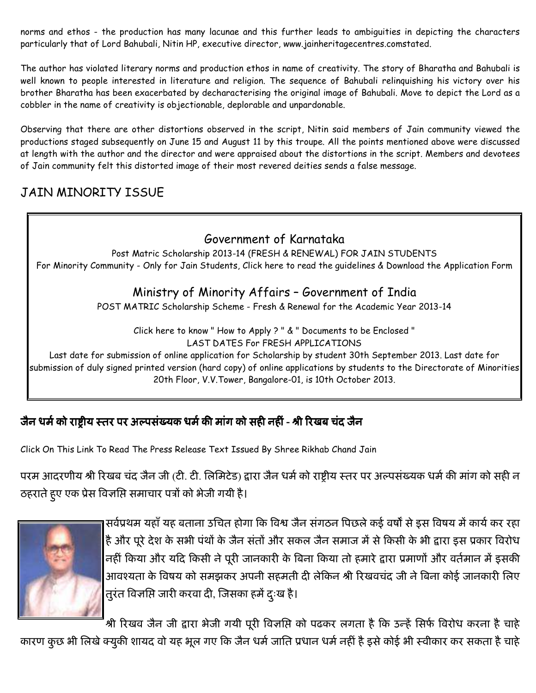norms and ethos - the production has many lacunae and this further leads to ambiguities in depicting the characters particularly that of Lord Bahubali, Nitin HP, executive director, www.jainheritagecentres.comstated.

The author has violated literary norms and production ethos in name of creativity. The story of Bharatha and Bahubali is well known to people interested in literature and religion. The sequence of Bahubali relinquishing his victory over his brother Bharatha has been exacerbated by decharacterising the original image of Bahubali. Move to depict the Lord as a cobbler in the name of creativity is objectionable, deplorable and unpardonable.

Observing that there are other distortions observed in the script, Nitin said members of Jain community viewed the productions staged subsequently on June 15 and August 11 by this troupe. All the points mentioned above were discussed at length with the author and the director and were appraised about the distortions in the script. Members and devotees of Jain community felt this distorted image of their most revered deities sends a false message.

# JAIN MINORITY ISSUE

# Government of Karnataka

Post Matric Scholarship 2013-14 (FRESH & RENEWAL) FOR JAIN STUDENTS For Minority Community - Only for Jain Students, Click here to read the guidelines & Download the Application Form

## Ministry of Minority Affairs – Government of India

POST MATRIC Scholarship Scheme - Fresh & Renewal for the Academic Year 2013-14

Click here to know " How to Apply ? " & " Documents to be Enclosed " LAST DATES For FRESH APPLICATIONS

Last date for submission of online application for Scholarship by student 30th September 2013. Last date for submission of duly signed printed version (hard copy) of online applications by students to the Directorate of Minorities 20th Floor, V.V.Tower, Bangalore-01, is 10th October 2013.

# जैन धर्म को राष्ट्रीय स्तर पर अल्पसंख्यक धर्म की मांग को सही नहीं - श्री रिखब चंद जैन

Click On This Link To Read The Press Release Text Issued By Shree Rikhab Chand Jain

परम आदरणीय श्री रिखब चंद जैन जी (टी. टी. लिमिटेड) द्वारा जैन धर्म को राष्ट्रीय स्तर पर अल्पसंख्यक धर्म की माग को सही न ठहराते हुए एक प्रेस विज्ञाप्ते समाचार पत्रों को भेजी गयी है।



सर्वप्रथम यहां यह बताना उचित होगा कि विश्व जैन संगठन पिछले कई वर्षों से इस विषय में कार्य कर रहा है और पूरे देश के सभी पर्था के जैन सतो और सकल जैन समाज में से किसी के भी द्वारा इस प्रकार विरोध नहीं किया और यदि किसी ने पूरी जानकारी के बिना किया तो हमारे द्वारा प्रमाणों और वर्तमान में इसकी आवश्यता के विषय को समझकर अपनी सहमती दी लेकिन श्री रिखवचंद जी ने बिना कोई जानकारी लिए तुरत विर्नाप्ते जारी करवा दी, जिसका हमे दुःख है।

श्री रिखव जैन जी द्वारा भेजी गयी पूरी विज्ञांसे को पढकर लगता है कि उन्हें सिर्फ विरोध करना है चाहे

कारण कुछ भी लिखे क्युकी शायद वो यह भूल गए कि जैन धर्म जाति प्रधान धर्म नहीं है इसे कोई भी स्वीकार कर सकता है चाहे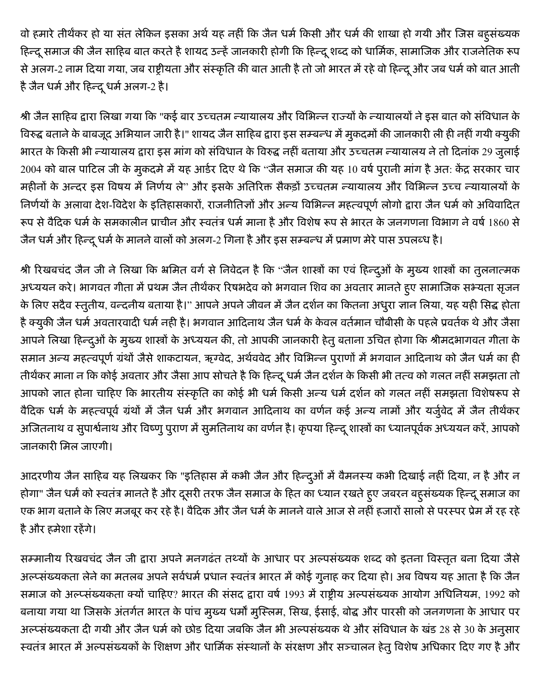वो हमारे तीर्थंकर हो या संत लेकिन इसका अर्थ यह नहीं कि जैन धर्म किसी और धर्म की शाखा हो गयी और जिस बहुसंख्यक हिन्दू समाज की जैन साहिब बात करते है शायद उन्हें जानकारी होगी कि हिन्दू शब्द को धार्मिक, सामाजिक और राजनेतिक रूप से अलग-2 नाम दिया गया, जब राष्ट्रीयता और संस्कृति की बात आती है तो जो भारत में रहे वो हिन्दू और जब धर्म को बात आती है जैन धर्म और हिन्दू धर्म अलग-2 है।

श्री जैन साहिब द्वारा लिखा गया कि "कई बार उच्चतम न्यायालय और विभिन्न राज्यों के न्यायालयों ने इस बात को संविधान के विरुद्ध बताने के बाबजूद अभियान जारी है।" शायद जैन साहिब द्वारा इस सम्बन्ध में मुकदमों की जानकारी ली ही नहीं गयी क्युकी भारत के किसी भी न्यायालय द्वारा इस मांग को संविधान के विरुद्ध नहीं बताया और उच्चतम न्यायालय ने तो दिनांक 29 जुलाई 2004 को बाल पाटिल जी के मुकदमे में यह आर्डर दिए थे कि "जैन समाज की यह 10 वर्ष पुरानी मांग है अत: केंद्र सरकार चार महीनों के अन्दर इस विषय में निर्णय ले" और इसके अतिरिक्त सैकड़ों उच्चतम न्यायालय और विभिन्न उच्च न्यायालयों के निर्णयों के अलावा देश-विदेश के इतिहासकारों, राजनीतिज्ञों और अन्य विभिन्न महत्वपूर्ण लोगो द्वारा जैन धर्म को अविवादित रूप से वैदिक धर्म के समकालीन प्राचीन और स्वतंत्र धर्म माना है और विशेष रूप से भारत के जनगणना विभाग ने वर्ष 1860 से जैन धर्म और हिन्दू धर्म के मानने वालों को अलग-2 गिना है और इस सम्बन्ध में प्रमाण मेरे पास उपलब्ध है।

श्री रिखबचंद जैन जी ने लिखा कि भ्रमित वर्ग से निवेदन है कि "जैन शास्त्रों का एवं हिन्दूओं के मुख्य शास्त्रों का तुलनात्मक अध्ययन करे। भागवत गीता में प्रथम जैन तीर्थंकर रिषभदेव को भगवान शिव का अवतार मानते हुए सामाजिक सभ्यता सृजन के लिए सदैव स्तुतीय, वन्दनीय बताया है।" आपने अपने जीवन में जैन दर्शन का कितना अधुरा ज्ञान लिया, यह यही सिद्ध होता है क्युकी जैन धर्म अवतारवादी धर्म नही है। भगवान आदिनाथ जैन धर्म के केवल वर्तमान चौबीसी के पहले प्रवर्तक थे और जैसा आपने लिखा हिन्दुओं के मुख्य शास्त्रों के अध्ययन की, तो आपकी जानकारी हेतु बताना उचित होगा कि श्रीमदभागवत गीता के समान अन्य महत्वपूर्ण ग्रंथों जैसे शाकटायन, ऋग्वेद, अर्थववेद और विभिन्न पुराणों में भगवान आदिनाथ को जैन धर्म का ही तीर्थंकर माना न कि कोई अवतार और जैसा आप सोचते है कि हिन्दू धर्म जैन दर्शन के किसी भी तत्व को गलत नहीं समझता तो आपको ज्ञात होना चाहिए कि भारतीय संस्कृति का कोई भी धर्म किसी अन्य धर्म दर्शन को गलत नहीं समझता विशेषरूप से वैदिक धर्म के महत्वपूर्व ग्रंथों में जैन धर्म और भगवान आदिनाथ का वर्णन कई अन्य नामों और यर्जुवेद में जैन तीर्थकर अजितनाथ व सुपार्श्वनाथ और विष्णु पुराण में सुमतिनाथ का वर्णन है। कृपया हिन्दू शास्त्रों का ध्यानपूर्वक अध्ययन करें, आपको जानकारी मिल जाएगी।

आदरणीय जैन साहिब यह लिखकर कि "इतिहास में कभी जैन और हिन्दूओं में वैमनस्य कभी दिखाई नहीं दिया, न है और न होगा" जैन धर्म को स्वतंत्र मानते है और दूसरी तरफ जैन समाज के हित का ध्यान रखते हुए जबरन बहुसंख्यक हिन्दू समाज का एक भाग बताने के लिए मजबूर कर रहे है। वैदिक और जैन धर्म के मानने वाले आज से नहीं हजारों सालो से परस्पर प्रेम में रह रहे है और हमेशा रहेंगे।

सम्मानीय रिखवचंद जैन जी द्वारा अपने मनगढंत तथ्यों के आधार पर अल्पसंख्यक शब्द को इतना विस्तृत बना दिया जैसे अल्प्संख्यकता लेने का मतलब अपने सर्वधर्म प्रधान स्वतंत्र भारत में कोई गुनाह कर दिया हो। अब विषय यह आता है कि जैन समाज को अल्प्संख्यकता क्यों चाहिए? भारत की संसद द्वारा वर्ष 1993 में राष्ट्रीय अल्पसंख्यक आयोग अधिनियम, 1992 को बनाया गया था जिसके अंतर्गत भारत के पांच मुख्य धर्मों मुस्लिम, सिख, ईसाई, बोद्ध और पारसी को जनगणना के आधार पर अल्प्संख्यकता दी गयी और जैन धर्म को छोड दिया जबकि जैन भी अल्पसंख्यक थे और संविधान के खंड 28 से 30 के अनुसार स्वतंत्र भारत में अल्पसंख्यकों के शिक्षण और धार्मिक संस्थानों के संरक्षण और सञ्चालन हेतु विशेष अधिकार दिए गए है और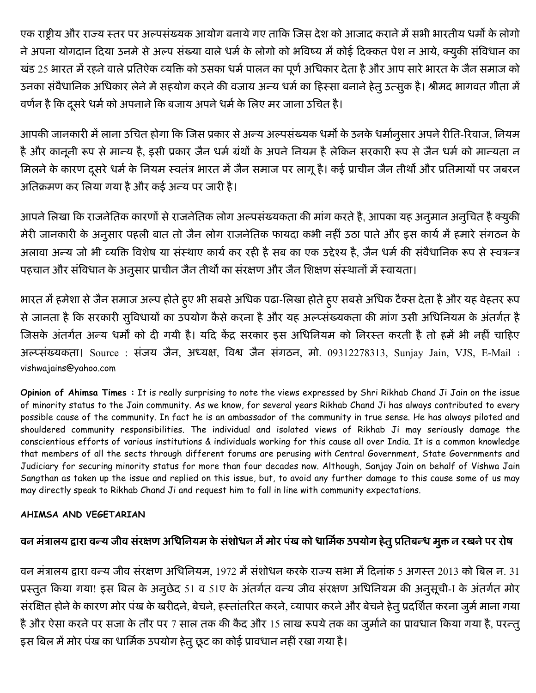एक राष्ट्रीय और राज्य स्तर पर अल्पसंख्यक आयोग बनाये गए ताकि जिस देश को आजाद कराने में सभी भारतीय धर्मो के लोगो ने अपना योगदान दिया उनमे से अल्प संख्या वाले धर्म के लोगो को भविष्य में कोई दिक्कत पेश न आये, क्युकी संविधान का खंड 25 भारत में रहने वाले प्रतिऐक व्यक्ति को उसका धर्म पालन का पूर्ण अधिकार देता है और आप सारे भारत के जैन समाज को उनका संवैधानिक अधिकार लेने में सहयोग करने की वजाय अन्य धर्म का हिस्सा बनाने हेतू उत्सुक है। श्रीमद भागवत गीता में वर्णन है कि दूसरे धर्म को अपनाने कि बजाय अपने धर्म के लिए मर जाना उचित है।

आपकी जानकारी में लाना उचित होगा कि जिस प्रकार से अन्य अल्पसंख्यक धर्मो के उनके धर्मानुसार अपने रीति-रिवाज, नियम है और कानूनी रूप से मान्य है, इसी प्रकार जैन धर्म ग्रंथों के अपने नियम है लेकिन सरकारी रूप से जैन धर्म को मान्यता न मिलने के कारण दूसरे धर्म के नियम स्वतंत्र भारत में जैन समाज पर लागू है। कई प्राचीन जैन तीर्थो और प्रतिमायों पर जबरन अतिक्रमण कर लिया गया है और कई अन्य पर जारी है।

आपने लिखा कि राजनेतिक कारणों से राजनेतिक लोग अल्पसंख्यकता की मांग करते है, आपका यह अनुमान अनुचित है क्युकी मेरी जानकारी के अनुसार पहली बात तो जैन लोग राजनेतिक फायदा कभी नहीं उठा पाते और इस कार्य में हमारे संगठन के अलावा अन्य जो भी व्यक्ति विशेष या संस्थाए कार्य कर रही है सब का एक उद्देश्य है, जैन धर्म की संवैधानिक रूप से स्वत्रन्त्र पहचान और संविधान के अनुसार प्राचीन जैन तीर्थों का संरक्षण और जैन शिक्षण संस्थानों में स्वायता।

भारत में हमेशा से जैन समाज अल्प होते हुए भी सबसे अधिक पढा-लिखा होते हुए सबसे अधिक टैक्स देता है और यह वेहतर रूप से जानता है कि सरकारी सुविधायों का उपयोग कैसे करना है और यह अल्प्संख्यकता की मांग उसी अधिनियम के अंतर्गत है जिसके अंतर्गत अन्य धर्मों को दी गयी है। यदि केंद्र सरकार इस अधिनियम को निरस्त करती है तो हमें भी नहीं चाहिए अल्प्संख्यकता। Source : संजय जैन, अध्यक्ष, विश्व जैन संगठन, मो. 09312278313, Sunjay Jain, VJS, E-Mail : vishwajains@yahoo.com

Opinion of Ahimsa Times: It is really surprising to note the views expressed by Shri Rikhab Chand Ji Jain on the issue of minority status to the Jain community. As we know, for several years Rikhab Chand Ji has always contributed to every possible cause of the community. In fact he is an ambassador of the community in true sense. He has always piloted and shouldered community responsibilities. The individual and isolated views of Rikhab Ji may seriously damage the conscientious efforts of various institutions & individuals working for this cause all over India. It is a common knowledge that members of all the sects through different forums are perusing with Central Government, State Governments and Judiciary for securing minority status for more than four decades now. Although, Sanjay Jain on behalf of Vishwa Jain Sangthan as taken up the issue and replied on this issue, but, to avoid any further damage to this cause some of us may may directly speak to Rikhab Chand Ji and request him to fall in line with community expectations.

## AHIMSA AND VEGETARIAN

## वन मंत्रालय द्वारा वन्य जीव संरक्षण अधिनियम के संशोधन में मोर पंख को धार्मिक उपयोग हेतु प्रतिबन्ध मुक्त न रखने पर रोष

वन मंत्रालय द्वारा वन्य जीव संरक्षण अधिनियम, 1972 में संशोधन करके राज्य सभा में दिनांक 5 अगस्त 2013 को बिल न. 31 प्रस्तुत किया गया! इस बिल के अनुछेद 51 व 51ए के अंतर्गत वन्य जीव संरक्षण अधिनियम की अनुसूची-I के अंतर्गत मोर संरक्षित होने के कारण मोर पंख के खरीदने, बेचने, हस्तांतरित करने, व्यापार करने और बेचने हेतु प्रदर्शित करना जुर्म माना गया है और ऐसा करने पर सजा के तौर पर 7 साल तक की कैद और 15 लाख रूपये तक का जुर्माने का प्रावधान किया गया है, परन्तु इस बिल में मोर पंख का धार्मिक उपयोग हेतू छूट का कोई प्रावधान नहीं रखा गया है।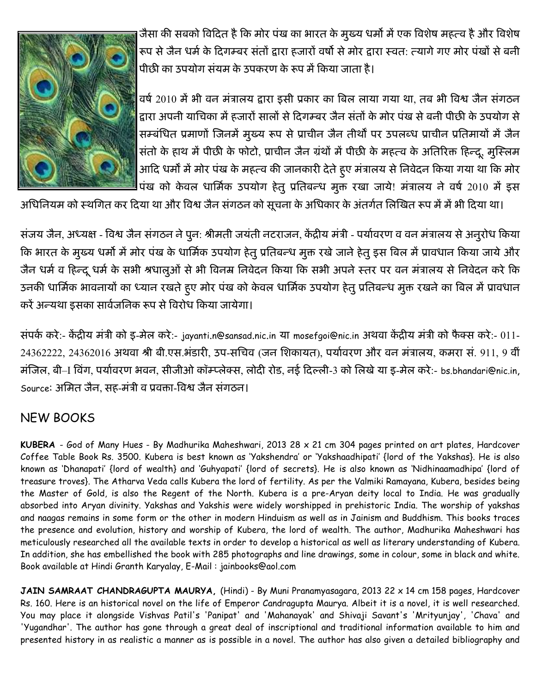

जैसा की सबको विदित है कि मोर पंख का भारत के मुख्य धर्मों में एक विशेष महत्व है और विशेष रूप से जैन धर्म के दिगम्बर सतो द्वारा हजारो वर्षो से मोर द्वारा स्वत: त्यागे गए मोर पर्खा से बनी पीछी का उपयोग सयम के उपकरण के रूप में किया जाता है।

वर्ष 2010 में भी वन मत्रालय द्वारा इसी प्रकार का बिल लाया गया था, तब भी विश्व जैन सगठन द्वारा अपनी याचिका में हजारों सालों से दिगम्बर जैन सतों के मोर पख से बनी पीछी के उपयोग से सम्बंधित प्रमाणो जिनमे मुख्य रूप से प्राचीन जैन तीर्थो पर उपलब्ध प्राचीन प्रतिमार्या में जैन सतो के हाथ में पीछी के फोटो, प्राचीन जैन ग्रंथों में पीछी के महत्व के अतिरिक्त हिन्दू, मुस्लिम आदि धर्मों में मोर पख के महत्व की जानकारी देते हुए मत्रालय से निवेदन किया गया था कि मोर पख को केवल धार्मिक उपयोग हेतु प्रतिबन्ध मुक्त रखा जाये! मत्रालय ने वर्ष 2010 में इस

आंधीनेयम को स्थगित कर दिया था और विश्व जैन संगठन को सूचना के अधिकार के अंतर्गत लिखित रूप में में भी दिया था।

सजय जैन, अध्यक्ष - विश्व जैन सगठन ने पुन: श्रीमती जयती नटराजन, केंद्रीय मंत्री - पर्यावरण व वन मत्रालय से अनुरोध किया कि भारत के मुख्य धर्मों में मोर पख के धार्मिक उपयोग हेतु प्रतिबन्ध मुक्त रखे जाने हेतु इस बिल में प्रावधान किया जाये और जैन धर्म व हिन्दू धर्म के सभी श्रधालुओं से भी विनम्र निवेदन किया कि सभी अपने स्तर पर वन मत्रालय से निवेदन करे कि उनकी धार्मिक भावनायों का ध्यान रखते हुए मोर पख को केवल धार्मिक उपयोग हेतु प्रतिबन्ध मुक्त रखने का बिल में प्रावधान करे अन्यथा इसका सार्वजनिक रूप से विरोध किया जायेगा।

सपके करे:- केंद्रीय मंत्री को इ-मेल करे:- jayanti.n@sansad.nic.in या mosefgoi@nic.in अथवा केंद्रीय मंत्री को फैक्स करे:- 011-24362222, 24362016 अथवा श्री बी.एस.भडारी, उप-सचिव (जन शिकायत), पर्यावरण और वन मत्रालय, कमरा स. 911, 9 वी मजिल, बी–I विग, पर्यावरण भवन, सीजीओ कॉम्प्लेक्स, लोदी रोड, नई दिल्ली-3 को लिखे या इ-मेल करे:- bs.bhandari@nic.in, Source: अमित जैन, सह-मंत्री व प्रवक्ता-विश्व जैन सगठन।

# NEW BOOKS

KUBERA - God of Many Hues - By Madhurika Maheshwari, 2013 28 x 21 cm 304 pages printed on art plates, Hardcover Coffee Table Book Rs. 3500. Kubera is best known as 'Yakshendra' or 'Yakshaadhipati' {lord of the Yakshas}. He is also known as 'Dhanapati' {lord of wealth} and 'Guhyapati' {lord of secrets}. He is also known as 'Nidhinaamadhipa' {lord of treasure troves}. The Atharva Veda calls Kubera the lord of fertility. As per the Valmiki Ramayana, Kubera, besides being the Master of Gold, is also the Regent of the North. Kubera is a pre-Aryan deity local to India. He was gradually absorbed into Aryan divinity. Yakshas and Yakshis were widely worshipped in prehistoric India. The worship of yakshas and naagas remains in some form or the other in modern Hinduism as well as in Jainism and Buddhism. This books traces the presence and evolution, history and worship of Kubera, the lord of wealth. The author, Madhurika Maheshwari has meticulously researched all the available texts in order to develop a historical as well as literary understanding of Kubera. In addition, she has embellished the book with 285 photographs and line drawings, some in colour, some in black and white. Book available at Hindi Granth Karyalay, E-Mail : jainbooks@aol.com

JAIN SAMRAAT CHANDRAGUPTA MAURYA, (Hindi) - By Muni Pranamyasagara, 2013 22 x 14 cm 158 pages, Hardcover Rs. 160. Here is an historical novel on the life of Emperor Candragupta Maurya. Albeit it is a novel, it is well researched. You may place it alongside Vishvas Patil's 'Panipat' and 'Mahanayak' and Shivaji Savant's 'Mrityunjay', 'Chava' and 'Yugandhar'. The author has gone through a great deal of inscriptional and traditional information available to him and presented history in as realistic a manner as is possible in a novel. The author has also given a detailed bibliography and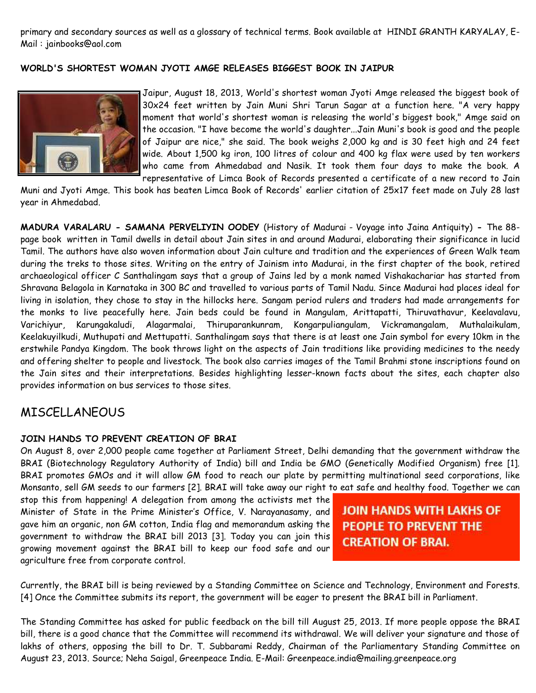primary and secondary sources as well as a glossary of technical terms. Book available at HINDI GRANTH KARYALAY, E-Mail : jainbooks@aol.com

#### WORLD'S SHORTEST WOMAN JYOTI AMGE RELEASES BIGGEST BOOK IN JAIPUR



Jaipur, August 18, 2013, World's shortest woman Jyoti Amge released the biggest book of 30x24 feet written by Jain Muni Shri Tarun Sagar at a function here. "A very happy moment that world's shortest woman is releasing the world's biggest book," Amge said on the occasion. "I have become the world's daughter...Jain Muni's book is good and the people of Jaipur are nice," she said. The book weighs 2,000 kg and is 30 feet high and 24 feet wide. About 1,500 kg iron, 100 litres of colour and 400 kg flax were used by ten workers who came from Ahmedabad and Nasik. It took them four days to make the book. A representative of Limca Book of Records presented a certificate of a new record to Jain

Muni and Jyoti Amge. This book has beaten Limca Book of Records' earlier citation of 25x17 feet made on July 28 last year in Ahmedabad.

MADURA VARALARU - SAMANA PERVELIYIN OODEY (History of Madurai - Voyage into Jaina Antiquity) - The 88 page book written in Tamil dwells in detail about Jain sites in and around Madurai, elaborating their significance in lucid Tamil. The authors have also woven information about Jain culture and tradition and the experiences of Green Walk team during the treks to those sites. Writing on the entry of Jainism into Madurai, in the first chapter of the book, retired archaeological officer C Santhalingam says that a group of Jains led by a monk named Vishakachariar has started from Shravana Belagola in Karnataka in 300 BC and travelled to various parts of Tamil Nadu. Since Madurai had places ideal for living in isolation, they chose to stay in the hillocks here. Sangam period rulers and traders had made arrangements for the monks to live peacefully here. Jain beds could be found in Mangulam, Arittapatti, Thiruvathavur, Keelavalavu, Varichiyur, Karungakaludi, Alagarmalai, Thiruparankunram, Kongarpuliangulam, Vickramangalam, Muthalaikulam, Keelakuyilkudi, Muthupati and Mettupatti. Santhalingam says that there is at least one Jain symbol for every 10km in the erstwhile Pandya Kingdom. The book throws light on the aspects of Jain traditions like providing medicines to the needy and offering shelter to people and livestock. The book also carries images of the Tamil Brahmi stone inscriptions found on the Jain sites and their interpretations. Besides highlighting lesser-known facts about the sites, each chapter also provides information on bus services to those sites.

## MISCELLANEOUS

#### JOIN HANDS TO PREVENT CREATION OF BRAI

On August 8, over 2,000 people came together at Parliament Street, Delhi demanding that the government withdraw the BRAI (Biotechnology Regulatory Authority of India) bill and India be GMO (Genetically Modified Organism) free [1]. BRAI promotes GMOs and it will allow GM food to reach our plate by permitting multinational seed corporations, like Monsanto, sell GM seeds to our farmers [2]. BRAI will take away our right to eat safe and healthy food. Together we can

stop this from happening! A delegation from among the activists met the Minister of State in the Prime Minister's Office, V. Narayanasamy, and gave him an organic, non GM cotton, India flag and memorandum asking the government to withdraw the BRAI bill 2013 [3]. Today you can join this growing movement against the BRAI bill to keep our food safe and our agriculture free from corporate control.

JOIN HANDS WITH LAKHS OF **PEOPLE TO PREVENT THE CREATION OF BRAI.** 

Currently, the BRAI bill is being reviewed by a Standing Committee on Science and Technology, Environment and Forests. [4] Once the Committee submits its report, the government will be eager to present the BRAI bill in Parliament.

The Standing Committee has asked for public feedback on the bill till August 25, 2013. If more people oppose the BRAI bill, there is a good chance that the Committee will recommend its withdrawal. We will deliver your signature and those of lakhs of others, opposing the bill to Dr. T. Subbarami Reddy, Chairman of the Parliamentary Standing Committee on August 23, 2013. Source; Neha Saigal, Greenpeace India. E-Mail: Greenpeace.india@mailing.greenpeace.org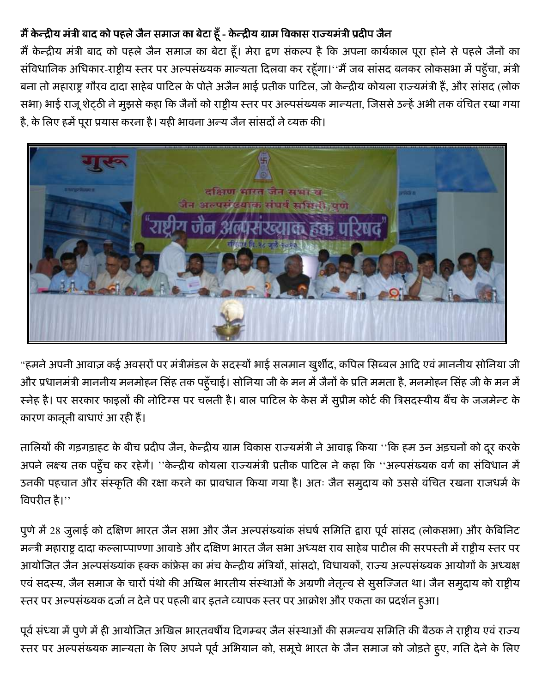# मैं केन्द्रीय मंत्री बाद को पहले जैन समाज का बेटा हूँ - केन्द्रीय ग्राम विकास राज्यमंत्री प्रदीप जैन

मैं केन्द्रीय मंत्री बाद को पहले जैन समाज का बेटा हूँ। मेरा द्वण संकल्प है कि अपना कार्यकाल पूरा होने से पहले जैनों का संविधानिक अधिकार-राष्ट्रीय स्तर पर अल्पसंख्यक मान्यता दिलवा कर रहूँगा।''मैं जब सांसद बनकर लोकसभा में पहूँचा, मंत्री बना तो महाराष्ट्र गौरव दादा साहेब पाटिल के पोते अजैन भाई प्रतीक पाटिल, जो केन्द्रीय कोयला राज्यमंत्री हैं, और सांसद (लोक सभा) भाई राजू शेट्ठी ने मुझसे कहा कि जैनों को राष्ट्रीय स्तर पर अल्पसंख्यक मान्यता, जिससे उन्हें अभी तक वंचित रखा गया है, के लिए हमें पूरा प्रयास करना है। यही भावना अन्य जैन सांसदों ने व्यक्त की।



''हमने अपनी आवाज़ कई अवसरों पर मंत्रीमंडल के सदस्यों भाई सलमान खुर्शीद, कपिल सिब्बल आदि एवं माननीय सोनिया जी और प्रधानमंत्री माननीय मनमोहन सिंह तक पहूँचाई। सोनिया जी के मन में जैनों के प्रति ममता है, मनमोहन सिंह जी के मन में स्नेह है। पर सरकार फाइलों की नोटिंग्स पर चलती है। बाल पाटिल के केस में सुप्रीम कोर्ट की त्रिसदस्यीय बैंच के जजमेन्ट के कारण कानूनी बाधाएं आ रही हैं।

तालियों की गड़गड़ाहट के बीच प्रदीप जैन, केन्द्रीय ग्राम विकास राज्यमंत्री ने आवाह्न किया ''कि हम उन अड़चनों को दूर करके अपने लक्ष्य तक पहूँच कर रहेगें। "केन्द्रीय कोयला राज्यमंत्री प्रतीक पाटिल ने कहा कि "अल्पसंख्यक वर्ग का संविधान में उनकी पहचान और संस्कृति की रक्षा करने का प्रावधान किया गया है। अतः जैन समुदाय को उससे वंचित रखना राजधर्म के विपरीत है।''

पुणे में 28 जुलाई को दक्षिण भारत जैन सभा और जैन अल्पसंख्यांक संघर्ष समिति द्वारा पूर्व सांसद (लोकसभा) और केबिनिट मन्त्री महाराष्ट्र दादा कल्लाप्पाण्णा आवाडे और दक्षिण भारत जैन सभा अध्यक्ष राव साहेब पाटील की सरपस्ती में राष्ट्रीय स्तर पर आयोजित जैन अल्पसंख्यांक हक्क कांफ्रेस का मंच केन्द्रीय मंत्रियों, सांसदो, विधायकों, राज्य अल्पसंख्यक आयोगों के अध्यक्ष एवं सदस्य, जैन समाज के चारों पंथो की अखिल भारतीय संस्थाओं के अग्रणी नेतृत्व से सुसज्जित था। जैन समुदाय को राष्ट्रीय स्तर पर अल्पसंख्यक दर्जा न देने पर पहली बार इतने व्यापक स्तर पर आक्रोश और एकता का प्रदर्शन हुआ।

पूर्व संध्या में पुणे में ही आयोजित अखिल भारतवर्षीय दिगम्बर जैन संस्थाओं की समन्वय समिति की बैठक ने राष्ट्रीय एवं राज्य स्तर पर अल्पसंख्यक मान्यता के लिए अपने पूर्व अभियान को, समूचे भारत के जैन समाज को जोड़ते हुए, गति देने के लिए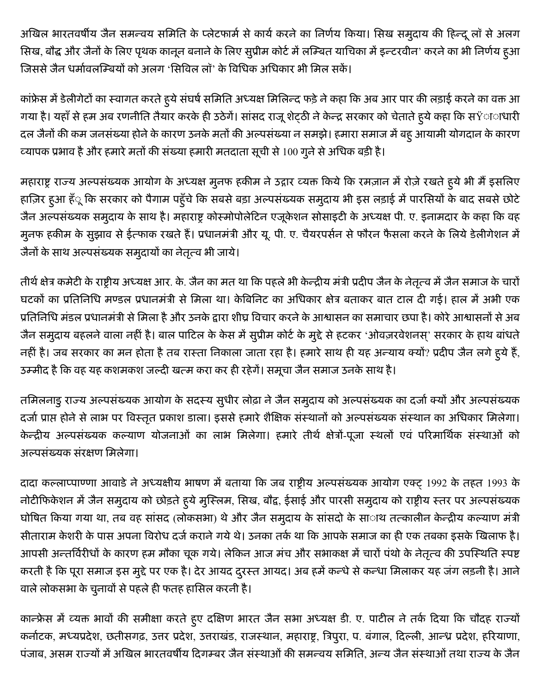अखिल भारतवर्षीय जैन समन्वय समिति के प्लेटफार्म से कार्य करने का निर्णय किया। सिख समुदाय की हिन्दू लॉ से अलग सिख, बौद्ध और जैनों के लिए पृथक कानून बनाने के लिए सुप्रीम कोर्ट में लम्बित याचिका में इन्टरवीन<sup>,</sup> करने का भी निर्णय हुआ जिससे जैन धर्मावलम्बियों को अलग 'सिविल लॉ' के विधिक अधिकार भी मिल सकें।

कांफ्रेस में डेलीगेटों का स्वागत करते हुये संघर्ष समिति अध्यक्ष मिलिन्द फड़े ने कहा कि अब आर पार की लड़ाई करने का वक्त आ गया है। यहाँ से हम अब रणनीति तैयार करके ही उठेगें। सांसद राजू शेट्ठी ने केन्द्र सरकार को चेताते हुये कहा कि सŸााधारी दल जैनों की कम जनसंख्या होने के कारण उनके मतों की अल्पसंख्या न समझे। हमारा समाज में बहू आयामी योगदान के कारण व्यापक प्रभाव है और हमारे मतों की संख्या हमारी मतदाता सूची से 100 गूने से अधिक बड़ी है।

महाराष्ट्र राज्य अल्पसंख्यक आयोग के अध्यक्ष मुनफ हकीम ने उद्गार व्यक्त किये कि रमज़ान में रोज़े रखते हूये भी मैं इसलिए हाज़िर हुआ हँू कि सरकार को पैगाम पहुँचे कि सबसे बड़ा अल्पसंख्यक समुदाय भी इस लड़ाई में पारसियों के बाद सबसे छोटे जैन अल्पसंख्यक समुदाय के साथ है। महाराष्ट्र कोस्मोपोलेटिन एजूकेशन सोसाइटी के अध्यक्ष पी. ए. इनामदार के कहा कि वह मुनफ हकीम के सुझाव से ईत्फाक रखते हैं। प्रधानमंत्री और यू. पी. ए. चैयरपर्सन से फौरन फैसला करने के लिये डेलीगेशन में जैनों के साथ अल्पसंख्यक समुदायों का नेतृत्व भी जाये।

तीर्थ क्षेत्र कमेटी के राष्ट्रीय अध्यक्ष आर. के. जैन का मत था कि पहले भी केन्द्रीय मंत्री प्रदीप जैन के नेतृत्व में जैन समाज के चारों घटकों का प्रतिनिधि मण्डल प्रधानमंत्री से मिला था। केबिनिट का अधिकार क्षेत्र बताकर बात टाल दी गई। हाल में अभी एक प्रतिनिधि मंडल प्रधानमंत्री से मिला है और उनके द्वारा शीघ्र विचार करने के आश्वासन का समाचार छपा है। कोरे आश्वासनों से अब जैन समुदाय बहलने वाला नहीं है। बाल पाटिल के केस में सुप्रीम कोर्ट के मुद्दे से हटकर 'ओवज़रवेशनस्' सरकार के हाथ बांधते नहीं है। जब सरकार का मन होता है तब रास्ता निकाला जाता रहा है। हमारे साथ ही यह अन्याय क्यों? प्रदीप जैन लगे हये हैं, उम्मीद है कि वह यह कशमकश जल्दी खत्म करा कर ही रहेगें। समूचा जैन समाज उनके साथ है।

तमिलनाडु राज्य अल्पसंख्यक आयोग के सदस्य सुधीर लोढ़ा ने जैन समुदाय को अल्पसंख्यक का दर्जा क्यों और अल्पसंख्यक दर्जा प्राप्त होने से लाभ पर विस्तृत प्रकाश डाला। इससे हमारे शैक्षिक संस्थानों को अल्पसंख्यक संस्थान का अधिकार मिलेगा। केन्द्रीय अल्पसंख्यक कल्याण योजनाओं का लाभ मिलेगा। हमारे तीर्थ क्षेत्रों-पूजा स्थलों एवं परिमार्थिक संस्थाओं को अल्पसंख्यक संरक्षण मिलेगा।

दादा कल्लाप्पाण्णा आवाडे ने अध्यक्षीय भाषण में बताया कि जब राष्ट्रीय अल्पसंख्यक आयोग एक्ट् 1992 के तहत 1993 के नोटीफिकेशन में जैन समुदाय को छोड़ते हुये मुस्लिम, सिख, बौद्व, ईसाई और पारसी समुदाय को राष्ट्रीय स्तर पर अल्पसंख्यक घोषित किया गया था, तब वह सांसद (लोकसभा) थे और जैन समुदाय के सांसदो के सााथ तत्कालीन केन्द्रीय कल्याण मंत्री सीताराम केशरी के पास अपना विरोध दर्ज कराने गये थे। उनका तर्क था कि आपके समाज का ही एक तबका इसके खिलाफ है। आपसी अन्तर्विरीधों के कारण हम मौका चूक गये। लेकिन आज मंच और सभाकक्ष में चारों पंथो के नेतृत्व की उपस्थिति स्पष्ट करती है कि पूरा समाज इस मुद्दे पर एक है। देर आयद दुरस्त आयद। अब हमें कन्धे से कन्धा मिलाकर यह जंग लड़नी है। आने वाले लोकसभा के चुनावों से पहले ही फतह हासिल करनी है।

कान्फ्रेस में व्यक्त भावों की समीक्षा करते हुए दक्षिण भारत जैन सभा अध्यक्ष डी. ए. पाटील ने तर्क दिया कि चौदह राज्यों कर्नाटक, मध्यप्रदेश, छतीसगढ़, उत्तर प्रदेश, उत्तराखंड, राजस्थान, महाराष्ट्र, त्रिपुरा, प. बंगाल, दिल्ली, आन्ध्र प्रदेश, हरियाणा, पंजाब, असम राज्यों में अखिल भारतवर्षीय दिगम्बर जैन संस्थाओं की समन्वय समिति, अन्य जैन संस्थाओं तथा राज्य के जैन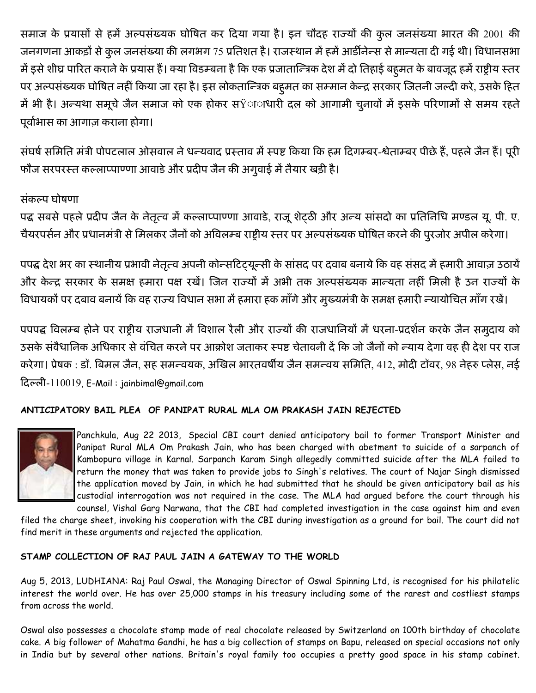समाज के प्रयासों से हमें अल्पसंख्यक घोषित कर दिया गया है। इन चौदह राज्यों की कुल जनसंख्या भारत की 2001 की जनगणना आकड़ों से कुल जनसंख्या की लगभग 75 प्रतिशत है। राजस्थान में हमें आर्डीनेन्स से मान्यता दी गई थी। विधानसभा में इसे शीघ्र पारित कराने के प्रयास हैं। क्या विडम्बना है कि एक प्रजातान्त्रिक देश में दो तिहाई बहुमत के बावजूद हमें राष्ट्रीय स्तर पर अल्पसंख्यक घोषित नहीं किया जा रहा है। इस लोकतान्त्रिक बहुमत का सम्मान केन्द्र सरकार जितनी जल्दी करे, उसके हित में भी है। अन्यथा समूचे जैन समाज को एक होकर सŸााधारी दल को आगामी चुनावों में इसके परिणामों से समय रहते पूर्वाभास का आगाज़ कराना होगा।

संघर्ष समिति मंत्री पोपटलाल ओसवाल ने धन्यवाद प्रस्ताव में स्पष्ट किया कि हम दिगम्बर-श्वेताम्बर पीछे हैं, पहले जैन हैं। पूरी फौज सरपरस्त कल्लाप्पाण्णा आवाडे और प्रदीप जैन की अगूवाई में तैयार खड़ी है।

## संकल्प घोषणा

पद्ध सबसे पहले प्रदीप जैन के नेतृत्व में कल्लाप्पाण्णा आवाडे, राजू शेटठी और अन्य सांसदो का प्रतिनिधि मण्डल यू. पी. ए. चैयरपर्सन और प्रधानमंत्री से मिलकर जैनों को अविलम्ब राष्ट्रीय स्तर पर अल्पसंख्यक घोषित करने की पुरजोर अपील करेगा।

पपद्ध देश भर का स्थानीय प्रभावी नेतृत्व अपनी कोन्सटिट्यून्सी के सांसद पर दवाब बनाये कि वह संसद में हमारी आवाज़ उठायें और केन्द्र सरकार के समक्ष हमारा पक्ष रखें। जिन राज्यों में अभी तक अल्पसंख्यक मान्यता नहीं मिली है उन राज्यों के विधायकों पर दबाव बनायें कि वह राज्य विधान सभा में हमारा हक माँगे और मुख्यमंत्री के समक्ष हमारी न्यायोचित माँग रखें।

पपपद्ध विलम्ब होने पर राष्ट्रीय राजधानी में विशाल रैली और राज्यों की राजधानियों में धरना-प्रदर्शन करके जैन समुदाय को उसके संवैधानिक अधिकार से वंचित करने पर आक्रोश जताकर स्पष्ट चेतावनी दें कि जो जैनों को न्याय देगा वह ही देश पर राज करेगा। प्रेषक : डॉ. बिमल जैन, सह समन्वयक, अखिल भारतवर्षीय जैन समन्वय समिति, 412, मोदी टॉवर, 98 नेहरु प्लेस, नई दिल्ली-110019, E-Mail: jainbimal@gmail.com

## ANTICIPATORY BAIL PLEA OF PANIPAT RURAL MLA OM PRAKASH JAIN REJECTED



Panchkula, Aug 22 2013, Special CBI court denied anticipatory bail to former Transport Minister and Panipat Rural MLA Om Prakash Jain, who has been charged with abetment to suicide of a sarpanch of Kambopura village in Karnal. Sarpanch Karam Singh allegedly committed suicide after the MLA failed to return the money that was taken to provide jobs to Singh's relatives. The court of Najar Singh dismissed the application moved by Jain, in which he had submitted that he should be given anticipatory bail as his custodial interrogation was not required in the case. The MLA had argued before the court through his

counsel, Vishal Garg Narwana, that the CBI had completed investigation in the case against him and even filed the charge sheet, invoking his cooperation with the CBI during investigation as a ground for bail. The court did not find merit in these arguments and rejected the application.

## STAMP COLLECTION OF RAJ PAUL JAIN A GATEWAY TO THE WORLD

Aug 5, 2013, LUDHIANA: Raj Paul Oswal, the Managing Director of Oswal Spinning Ltd, is recognised for his philatelic interest the world over. He has over 25,000 stamps in his treasury including some of the rarest and costliest stamps from across the world.

Oswal also possesses a chocolate stamp made of real chocolate released by Switzerland on 100th birthday of chocolate cake. A big follower of Mahatma Gandhi, he has a big collection of stamps on Bapu, released on special occasions not only in India but by several other nations. Britain's royal family too occupies a pretty good space in his stamp cabinet.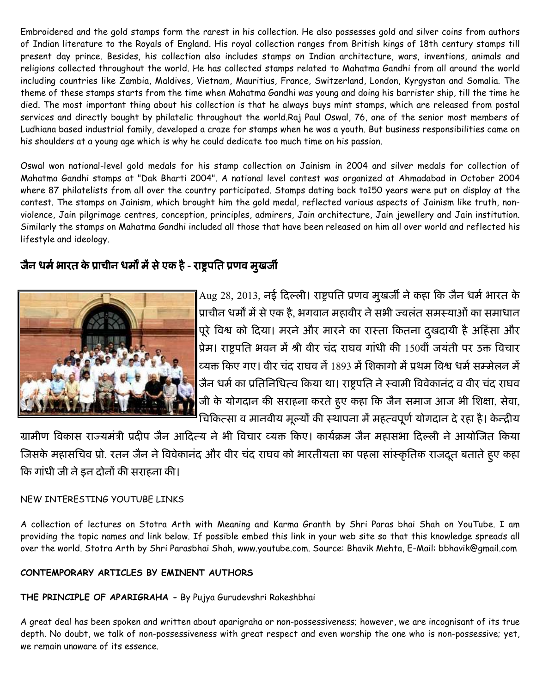Embroidered and the gold stamps form the rarest in his collection. He also possesses gold and silver coins from authors of Indian literature to the Royals of England. His royal collection ranges from British kings of 18th century stamps till present day prince. Besides, his collection also includes stamps on Indian architecture, wars, inventions, animals and religions collected throughout the world. He has collected stamps related to Mahatma Gandhi from all around the world including countries like Zambia, Maldives, Vietnam, Mauritius, France, Switzerland, London, Kyrgystan and Somalia. The theme of these stamps starts from the time when Mahatma Gandhi was young and doing his barrister ship, till the time he died. The most important thing about his collection is that he always buys mint stamps, which are released from postal services and directly bought by philatelic throughout the world.Raj Paul Oswal, 76, one of the senior most members of Ludhiana based industrial family, developed a craze for stamps when he was a youth. But business responsibilities came on his shoulders at a young age which is why he could dedicate too much time on his passion.

Oswal won national-level gold medals for his stamp collection on Jainism in 2004 and silver medals for collection of Mahatma Gandhi stamps at "Dak Bharti 2004". A national level contest was organized at Ahmadabad in October 2004 where 87 philatelists from all over the country participated. Stamps dating back to150 years were put on display at the contest. The stamps on Jainism, which brought him the gold medal, reflected various aspects of Jainism like truth, nonviolence, Jain pilgrimage centres, conception, principles, admirers, Jain architecture, Jain jewellery and Jain institution. Similarly the stamps on Mahatma Gandhi included all those that have been released on him all over world and reflected his lifestyle and ideology.

# जैन धर्म भारत के प्राचीन धर्मों में से एक है - राष्ट्रपति प्रणव मुखर्जी



Aug 28, 2013, नई दिल्ली। राष्ट्रपति प्रणव मुखर्जी ने कहा कि जैन धर्म भारत के प्राचीन धर्मों में से एक है, भगवान महावीर ने सभी ज्वलंत समस्याओं का समाधान पूरे विश्व को दिया। मरने और मारने का रास्ता कितना दुखदायी है अहिंसा और प्रेम। राष्ट्रपति भवन में श्री वीर चंद राघव गांधी की 150वीं जयंती पर उक्त विचार व्यक्त किए गए। वीर चंद राघव नें 1893 में शिकागो में प्रथम विश्व धर्म सम्मेलन में जैन धर्म का प्रतिनिधित्व किया था। राष्ट्रपति ने स्वामी विवेकानंद व वीर चंद राघव जी के योगदान की सराहना करते हुए कहा कि जैन समाज आज भी शिक्षा, सेवा, चिकित्सा व मानवीय मूल्यों की स्थापना में महत्वपूर्ण योगदान दे रहा है। केन्द्रीय

ग्रामीण विकास राज्यमंत्री प्रदीप जैन आदित्य ने भी विचार व्यक्त किए। कार्यक्रम जैन महासभा दिल्ली ने आयोजित किया जिसके महासचिव प्रो. रतन जैन ने विवेकानंद और वीर चंद राघव को भारतीयता का पहला सांस्कृतिक राजदूत बताते हुए कहा कि गांधी जी ने इन दोनों की सराहना की।

## NEW INTERESTING YOUTUBE LINKS

A collection of lectures on Stotra Arth with Meaning and Karma Granth by Shri Paras bhai Shah on YouTube. I am providing the topic names and link below. If possible embed this link in your web site so that this knowledge spreads all over the world. Stotra Arth by Shri Parasbhai Shah, www.youtube.com. Source: Bhavik Mehta, E-Mail: bbhavik@gmail.com

## CONTEMPORARY ARTICLES BY EMINENT AUTHORS

## THE PRINCIPLE OF APARIGRAHA - By Pujya Gurudevshri Rakeshbhai

A great deal has been spoken and written about aparigraha or non-possessiveness; however, we are incognisant of its true depth. No doubt, we talk of non-possessiveness with great respect and even worship the one who is non-possessive; yet, we remain unaware of its essence.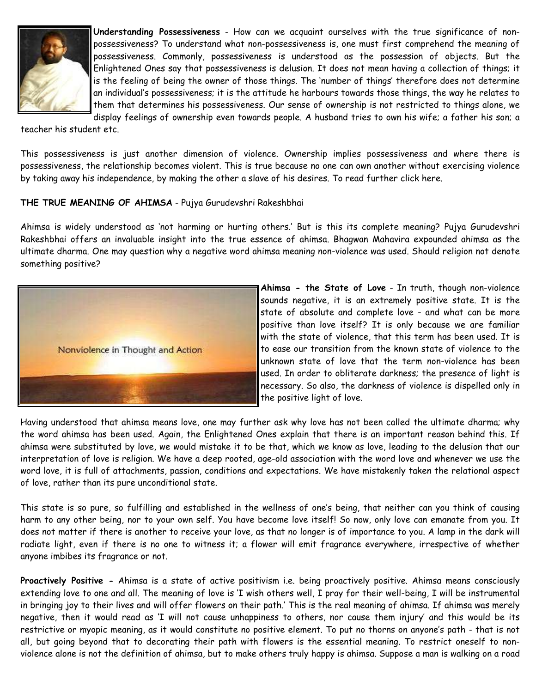

Understanding Possessiveness - How can we acquaint ourselves with the true significance of nonpossessiveness? To understand what non-possessiveness is, one must first comprehend the meaning of possessiveness. Commonly, possessiveness is understood as the possession of objects. But the Enlightened Ones say that possessiveness is delusion. It does not mean having a collection of things; it is the feeling of being the owner of those things. The 'number of things' therefore does not determine an individual's possessiveness; it is the attitude he harbours towards those things, the way he relates to them that determines his possessiveness. Our sense of ownership is not restricted to things alone, we display feelings of ownership even towards people. A husband tries to own his wife; a father his son; a

teacher his student etc.

This possessiveness is just another dimension of violence. Ownership implies possessiveness and where there is possessiveness, the relationship becomes violent. This is true because no one can own another without exercising violence by taking away his independence, by making the other a slave of his desires. To read further click here.

#### THE TRUE MEANING OF AHIMSA - Pujya Gurudevshri Rakeshbhai

Ahimsa is widely understood as 'not harming or hurting others.' But is this its complete meaning? Pujya Gurudevshri Rakeshbhai offers an invaluable insight into the true essence of ahimsa. Bhagwan Mahavira expounded ahimsa as the ultimate dharma. One may question why a negative word ahimsa meaning non-violence was used. Should religion not denote something positive?



Ahimsa - the State of Love - In truth, though non-violence sounds negative, it is an extremely positive state. It is the state of absolute and complete love - and what can be more positive than love itself? It is only because we are familiar with the state of violence, that this term has been used. It is to ease our transition from the known state of violence to the unknown state of love that the term non-violence has been used. In order to obliterate darkness; the presence of light is necessary. So also, the darkness of violence is dispelled only in the positive light of love.

Having understood that ahimsa means love, one may further ask why love has not been called the ultimate dharma; why the word ahimsa has been used. Again, the Enlightened Ones explain that there is an important reason behind this. If ahimsa were substituted by love, we would mistake it to be that, which we know as love, leading to the delusion that our interpretation of love is religion. We have a deep rooted, age-old association with the word love and whenever we use the word love, it is full of attachments, passion, conditions and expectations. We have mistakenly taken the relational aspect of love, rather than its pure unconditional state.

This state is so pure, so fulfilling and established in the wellness of one's being, that neither can you think of causing harm to any other being, nor to your own self. You have become love itself! So now, only love can emanate from you. It does not matter if there is another to receive your love, as that no longer is of importance to you. A lamp in the dark will radiate light, even if there is no one to witness it; a flower will emit fragrance everywhere, irrespective of whether anyone imbibes its fragrance or not.

Proactively Positive - Ahimsa is a state of active positivism i.e. being proactively positive. Ahimsa means consciously extending love to one and all. The meaning of love is 'I wish others well, I pray for their well-being, I will be instrumental in bringing joy to their lives and will offer flowers on their path.' This is the real meaning of ahimsa. If ahimsa was merely negative, then it would read as 'I will not cause unhappiness to others, nor cause them injury' and this would be its restrictive or myopic meaning, as it would constitute no positive element. To put no thorns on anyone's path - that is not all, but going beyond that to decorating their path with flowers is the essential meaning. To restrict oneself to nonviolence alone is not the definition of ahimsa, but to make others truly happy is ahimsa. Suppose a man is walking on a road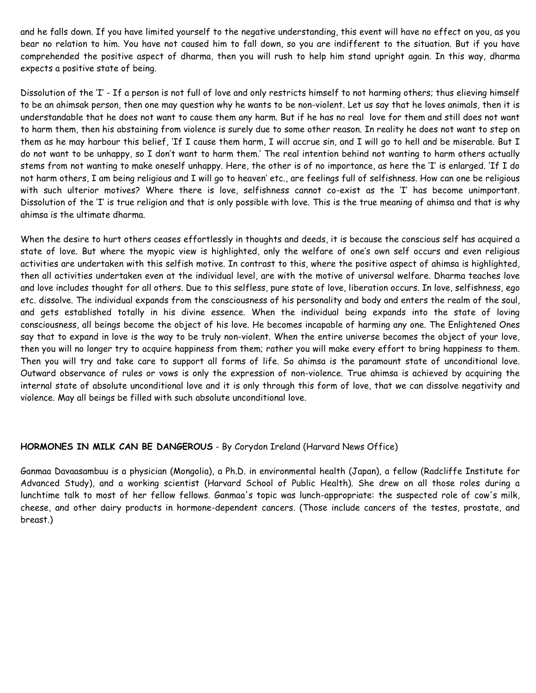and he falls down. If you have limited yourself to the negative understanding, this event will have no effect on you, as you bear no relation to him. You have not caused him to fall down, so you are indifferent to the situation. But if you have comprehended the positive aspect of dharma, then you will rush to help him stand upright again. In this way, dharma expects a positive state of being.

Dissolution of the 'I' - If a person is not full of love and only restricts himself to not harming others; thus elieving himself to be an ahimsak person, then one may question why he wants to be non-violent. Let us say that he loves animals, then it is understandable that he does not want to cause them any harm. But if he has no real love for them and still does not want to harm them, then his abstaining from violence is surely due to some other reason. In reality he does not want to step on them as he may harbour this belief, 'If I cause them harm, I will accrue sin, and I will go to hell and be miserable. But I do not want to be unhappy, so I don't want to harm them.' The real intention behind not wanting to harm others actually stems from not wanting to make oneself unhappy. Here, the other is of no importance, as here the 'I' is enlarged. 'If I do not harm others, I am being religious and I will go to heaven' etc., are feelings full of selfishness. How can one be religious with such ulterior motives? Where there is love, selfishness cannot co-exist as the 'I' has become unimportant. Dissolution of the 'I' is true religion and that is only possible with love. This is the true meaning of ahimsa and that is why ahimsa is the ultimate dharma.

When the desire to hurt others ceases effortlessly in thoughts and deeds, it is because the conscious self has acquired a state of love. But where the myopic view is highlighted, only the welfare of one's own self occurs and even religious activities are undertaken with this selfish motive. In contrast to this, where the positive aspect of ahimsa is highlighted, then all activities undertaken even at the individual level, are with the motive of universal welfare. Dharma teaches love and love includes thought for all others. Due to this selfless, pure state of love, liberation occurs. In love, selfishness, ego etc. dissolve. The individual expands from the consciousness of his personality and body and enters the realm of the soul, and gets established totally in his divine essence. When the individual being expands into the state of loving consciousness, all beings become the object of his love. He becomes incapable of harming any one. The Enlightened Ones say that to expand in love is the way to be truly non-violent. When the entire universe becomes the object of your love, then you will no longer try to acquire happiness from them; rather you will make every effort to bring happiness to them. Then you will try and take care to support all forms of life. So ahimsa is the paramount state of unconditional love. Outward observance of rules or vows is only the expression of non-violence. True ahimsa is achieved by acquiring the internal state of absolute unconditional love and it is only through this form of love, that we can dissolve negativity and violence. May all beings be filled with such absolute unconditional love.

#### HORMONES IN MILK CAN BE DANGEROUS - By Corydon Ireland (Harvard News Office)

Ganmaa Davaasambuu is a physician (Mongolia), a Ph.D. in environmental health (Japan), a fellow (Radcliffe Institute for Advanced Study), and a working scientist (Harvard School of Public Health). She drew on all those roles during a lunchtime talk to most of her fellow fellows. Ganmaa's topic was lunch-appropriate: the suspected role of cow's milk, cheese, and other dairy products in hormone-dependent cancers. (Those include cancers of the testes, prostate, and breast.)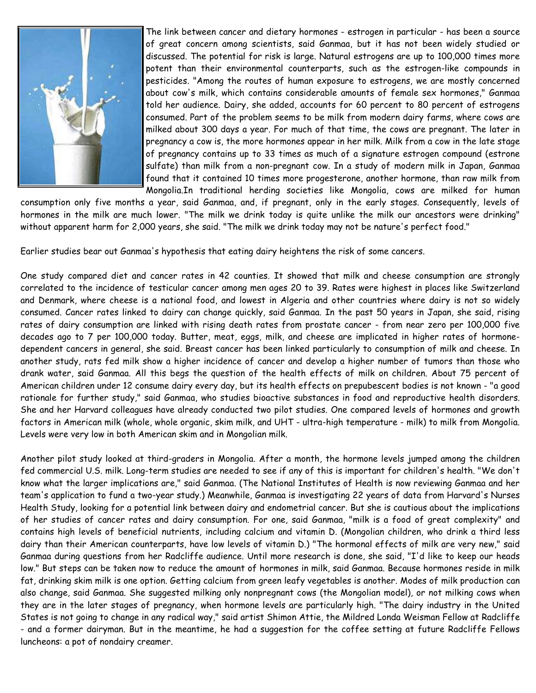

The link between cancer and dietary hormones - estrogen in particular - has been a source of great concern among scientists, said Ganmaa, but it has not been widely studied or discussed. The potential for risk is large. Natural estrogens are up to 100,000 times more potent than their environmental counterparts, such as the estrogen-like compounds in pesticides. "Among the routes of human exposure to estrogens, we are mostly concerned about cow's milk, which contains considerable amounts of female sex hormones," Ganmaa told her audience. Dairy, she added, accounts for 60 percent to 80 percent of estrogens consumed. Part of the problem seems to be milk from modern dairy farms, where cows are milked about 300 days a year. For much of that time, the cows are pregnant. The later in pregnancy a cow is, the more hormones appear in her milk. Milk from a cow in the late stage of pregnancy contains up to 33 times as much of a signature estrogen compound (estrone sulfate) than milk from a non-pregnant cow. In a study of modern milk in Japan, Ganmaa found that it contained 10 times more progesterone, another hormone, than raw milk from Mongolia.In traditional herding societies like Mongolia, cows are milked for human

consumption only five months a year, said Ganmaa, and, if pregnant, only in the early stages. Consequently, levels of hormones in the milk are much lower. "The milk we drink today is quite unlike the milk our ancestors were drinking" without apparent harm for 2,000 years, she said. "The milk we drink today may not be nature's perfect food."

Earlier studies bear out Ganmaa's hypothesis that eating dairy heightens the risk of some cancers.

One study compared diet and cancer rates in 42 counties. It showed that milk and cheese consumption are strongly correlated to the incidence of testicular cancer among men ages 20 to 39. Rates were highest in places like Switzerland and Denmark, where cheese is a national food, and lowest in Algeria and other countries where dairy is not so widely consumed. Cancer rates linked to dairy can change quickly, said Ganmaa. In the past 50 years in Japan, she said, rising rates of dairy consumption are linked with rising death rates from prostate cancer - from near zero per 100,000 five decades ago to 7 per 100,000 today. Butter, meat, eggs, milk, and cheese are implicated in higher rates of hormonedependent cancers in general, she said. Breast cancer has been linked particularly to consumption of milk and cheese. In another study, rats fed milk show a higher incidence of cancer and develop a higher number of tumors than those who drank water, said Ganmaa. All this begs the question of the health effects of milk on children. About 75 percent of American children under 12 consume dairy every day, but its health effects on prepubescent bodies is not known - "a good rationale for further study," said Ganmaa, who studies bioactive substances in food and reproductive health disorders. She and her Harvard colleagues have already conducted two pilot studies. One compared levels of hormones and growth factors in American milk (whole, whole organic, skim milk, and UHT - ultra-high temperature - milk) to milk from Mongolia. Levels were very low in both American skim and in Mongolian milk.

Another pilot study looked at third-graders in Mongolia. After a month, the hormone levels jumped among the children fed commercial U.S. milk. Long-term studies are needed to see if any of this is important for children's health. "We don't know what the larger implications are," said Ganmaa. (The National Institutes of Health is now reviewing Ganmaa and her team's application to fund a two-year study.) Meanwhile, Ganmaa is investigating 22 years of data from Harvard's Nurses Health Study, looking for a potential link between dairy and endometrial cancer. But she is cautious about the implications of her studies of cancer rates and dairy consumption. For one, said Ganmaa, "milk is a food of great complexity" and contains high levels of beneficial nutrients, including calcium and vitamin D. (Mongolian children, who drink a third less dairy than their American counterparts, have low levels of vitamin D.) "The hormonal effects of milk are very new," said Ganmaa during questions from her Radcliffe audience. Until more research is done, she said, "I'd like to keep our heads low." But steps can be taken now to reduce the amount of hormones in milk, said Ganmaa. Because hormones reside in milk fat, drinking skim milk is one option. Getting calcium from green leafy vegetables is another. Modes of milk production can also change, said Ganmaa. She suggested milking only nonpregnant cows (the Mongolian model), or not milking cows when they are in the later stages of pregnancy, when hormone levels are particularly high. "The dairy industry in the United States is not going to change in any radical way," said artist Shimon Attie, the Mildred Londa Weisman Fellow at Radcliffe - and a former dairyman. But in the meantime, he had a suggestion for the coffee setting at future Radcliffe Fellows luncheons: a pot of nondairy creamer.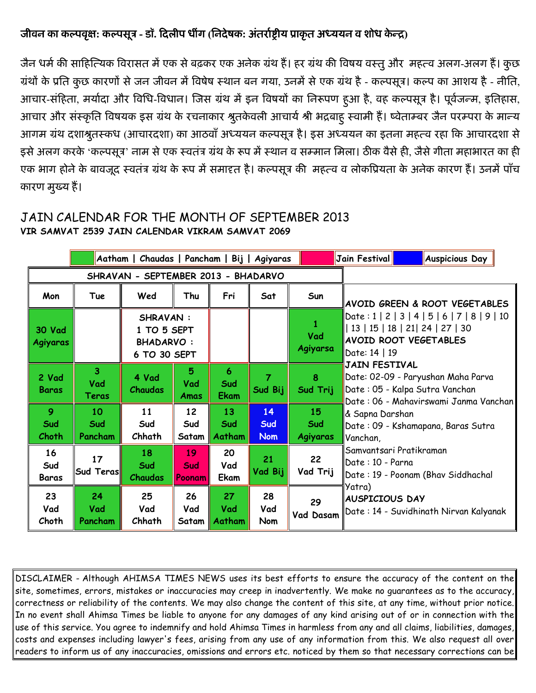## जीवन का कल्पवृक्षः कल्पसूत्र - डॉ. दिलीप धींग (निदेषकः अंतर्राष्ट्रीय प्राकृत अध्ययन व शोध केन्द्र)

जैन धर्म की साहित्यिक विरासत में एक से बढ़कर एक अनेक ग्रंथ है। हर ग्रंथ की विषय वस्तु और महत्व अलग-अलग है। कुछ ग्रंथों के प्रति कुछ कारणों से जन जीवन में विषेष स्थान बन गया, उनमें से एक ग्रंथ है - कल्पसूत्र। कल्प का आशय है - नीति, आचार-सहिता, मर्यादा और विधि-विधान। जिस ग्रंथ में इन विषयों का निरूपण हुआ है, वह कल्पसूत्र है। पूर्वजन्म, इतिहास, आचार और सर्न्कृति विषयक इस ग्रंथ के रचनाकार श्रुतकेवली आचार्य श्री भद्रबाहु स्वामी है। ष्वेताम्बर जैन परम्परा के मान्य आगम ग्रंथ दशाश्रुतस्कंध (आचारदशा) का आठवां अध्ययन कल्पसूत्र है। इस अध्ययन का इतना महत्व रहा कि आचारदशा से इसे अलग करके 'कल्पसूत्र' नाम से एक स्वतंत्र ग्रंथ के रूप में स्थान व सम्मान मिला। ठीक वैसे ही, जैसे गीता महाभारत का ही एक भाग होने के बावजूद स्वतंतर ग्रंथ के रूप में समादृत है। कल्पसूत्र की महत्व व लोकप्रियता के अनेक कारण है। उनमे पाँच कारण मुख्य है।

## JAIN CALENDAR FOR THE MONTH OF SEPTEMBER 2013 VIR SAMVAT 2539 JAIN CALENDAR VIKRAM SAMVAT 2069

|                                     | Aatham   Chaudas   Pancham   Bij   Agiyaras |                                                                    |                                 |                                     |                                |                       | Jain Festival                                                                                                                                                                                                                                                                                                                                                           |                               | Auspicious Day |  |  |
|-------------------------------------|---------------------------------------------|--------------------------------------------------------------------|---------------------------------|-------------------------------------|--------------------------------|-----------------------|-------------------------------------------------------------------------------------------------------------------------------------------------------------------------------------------------------------------------------------------------------------------------------------------------------------------------------------------------------------------------|-------------------------------|----------------|--|--|
| SHRAVAN - SEPTEMBER 2013 - BHADARVO |                                             |                                                                    |                                 |                                     |                                |                       |                                                                                                                                                                                                                                                                                                                                                                         |                               |                |  |  |
| Mon                                 | Tue                                         | Wed                                                                | Thu                             | Fri                                 | Sat                            | Sun                   |                                                                                                                                                                                                                                                                                                                                                                         | AVOID GREEN & ROOT VEGETABLES |                |  |  |
| <b>30 Vad</b><br><b>Agiyaras</b>    |                                             | <b>SHRAVAN:</b><br>1 TO 5 SEPT<br><b>BHADARVO:</b><br>6 TO 30 SEPT |                                 |                                     |                                | 1<br>Vad<br>Agiyarsa  | $Data:1   2   3   4   5   6   7   8   9   10$<br>   13   15   18   21   24   27   30<br><b>AVOID ROOT VEGETABLES</b><br>Date: 14   19                                                                                                                                                                                                                                   |                               |                |  |  |
| 2 Vad<br><b>Baras</b>               | 3 <sup>1</sup><br>Vad<br>Teras              | 4 Vad<br><b>Chaudas</b>                                            | 5<br>Vad<br>Amas                | 6<br>Sud<br><b>Ekam</b>             | Sud Bij                        | 8<br>Sud Trij         | JAIN FESTIVAL<br>Date: 02-09 - Paryushan Maha Parva<br>Date : 05 - Kalpa Sutra Vanchan<br>Date: 06 - Mahavirswami Janma Vanchan<br>& Sapna Darshan<br>Date: 09 - Kshamapana, Baras Sutra<br>Vanchan,<br> Samvantsari Pratikraman<br>Date: 10 - Parna<br>Date: 19 - Poonam (Bhav Siddhachal<br>Yatra)<br><b>AUSPICIOUS DAY</b><br>Date: 14 - Suvidhinath Nirvan Kalyanak |                               |                |  |  |
| $\overline{9}$<br>Sud<br>Choth      | 10<br>Sud<br>Pancham                        | 11<br>Sud<br>Chhath                                                | 12 <sup>2</sup><br>Sud<br>Satam | 13<br>Sud<br>Aatham<br>$\mathbf{I}$ | 14<br><b>Sud</b><br><b>Nom</b> | 15<br>Sud<br>Agiyaras |                                                                                                                                                                                                                                                                                                                                                                         |                               |                |  |  |
| 16<br>Sud<br><b>Baras</b>           | 17<br><b>Sud Teras</b>                      | 18<br>Sud<br>Chaudas                                               | 19<br>Sud<br>Poonam             | 20<br>Vad<br>Ekam                   | 21<br>Vad Bij                  | 22<br>Vad Trij        |                                                                                                                                                                                                                                                                                                                                                                         |                               |                |  |  |
| 23<br>Vad<br>Choth                  | 24<br>Vad<br>Pancham                        | 25<br>Vad<br>Chhath                                                | 26<br>Vad<br>Satam              | 27<br>Vad<br>Aatham                 | 28<br>Vad<br>Nom               | 29<br>Vad Dasam       |                                                                                                                                                                                                                                                                                                                                                                         |                               |                |  |  |

DISCLAIMER - Although AHIMSA TIMES NEWS uses its best efforts to ensure the accuracy of the content on the site, sometimes, errors, mistakes or inaccuracies may creep in inadvertently. We make no guarantees as to the accuracy, correctness or reliability of the contents. We may also change the content of this site, at any time, without prior notice. In no event shall Ahimsa Times be liable to anyone for any damages of any kind arising out of or in connection with the use of this service. You agree to indemnify and hold Ahimsa Times in harmless from any and all claims, liabilities, damages, costs and expenses including lawyer's fees, arising from any use of any information from this. We also request all over readers to inform us of any inaccuracies, omissions and errors etc. noticed by them so that necessary corrections can be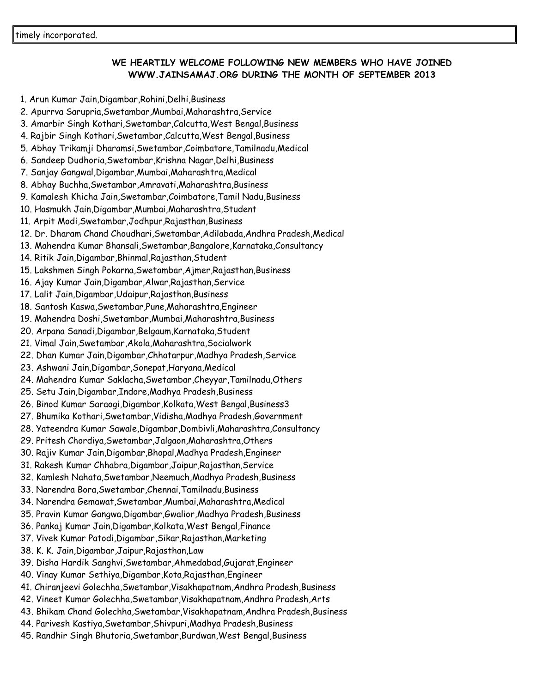### WE HEARTILY WELCOME FOLLOWING NEW MEMBERS WHO HAVE JOINED WWW.JAINSAMAJ.ORG DURING THE MONTH OF SEPTEMBER 2013

- 1. Arun Kumar Jain,Digambar,Rohini,Delhi,Business
- 2. Apurrva Sarupria,Swetambar,Mumbai,Maharashtra,Service
- 3. Amarbir Singh Kothari,Swetambar,Calcutta,West Bengal,Business
- 4. Rajbir Singh Kothari,Swetambar,Calcutta,West Bengal,Business
- 5. Abhay Trikamji Dharamsi,Swetambar,Coimbatore,Tamilnadu,Medical
- 6. Sandeep Dudhoria,Swetambar,Krishna Nagar,Delhi,Business
- 7. Sanjay Gangwal,Digambar,Mumbai,Maharashtra,Medical
- 8. Abhay Buchha,Swetambar,Amravati,Maharashtra,Business
- 9. Kamalesh Khicha Jain,Swetambar,Coimbatore,Tamil Nadu,Business
- 10. Hasmukh Jain,Digambar,Mumbai,Maharashtra,Student
- 11. Arpit Modi,Swetambar,Jodhpur,Rajasthan,Business
- 12. Dr. Dharam Chand Choudhari,Swetambar,Adilabada,Andhra Pradesh,Medical
- 13. Mahendra Kumar Bhansali,Swetambar,Bangalore,Karnataka,Consultancy
- 14. Ritik Jain,Digambar,Bhinmal,Rajasthan,Student
- 15. Lakshmen Singh Pokarna,Swetambar,Ajmer,Rajasthan,Business
- 16. Ajay Kumar Jain,Digambar,Alwar,Rajasthan,Service
- 17. Lalit Jain,Digambar,Udaipur,Rajasthan,Business
- 18. Santosh Kaswa,Swetambar,Pune,Maharashtra,Engineer
- 19. Mahendra Doshi,Swetambar,Mumbai,Maharashtra,Business
- 20. Arpana Sanadi,Digambar,Belgaum,Karnataka,Student
- 21. Vimal Jain,Swetambar,Akola,Maharashtra,Socialwork
- 22. Dhan Kumar Jain,Digambar,Chhatarpur,Madhya Pradesh,Service
- 23. Ashwani Jain,Digambar,Sonepat,Haryana,Medical
- 24. Mahendra Kumar Saklacha,Swetambar,Cheyyar,Tamilnadu,Others
- 25. Setu Jain,Digambar,Indore,Madhya Pradesh,Business
- 26. Binod Kumar Saraogi,Digambar,Kolkata,West Bengal,Business3
- 27. Bhumika Kothari,Swetambar,Vidisha,Madhya Pradesh,Government
- 28. Yateendra Kumar Sawale,Digambar,Dombivli,Maharashtra,Consultancy
- 29. Pritesh Chordiya,Swetambar,Jalgaon,Maharashtra,Others
- 30. Rajiv Kumar Jain,Digambar,Bhopal,Madhya Pradesh,Engineer
- 31. Rakesh Kumar Chhabra,Digambar,Jaipur,Rajasthan,Service
- 32. Kamlesh Nahata,Swetambar,Neemuch,Madhya Pradesh,Business
- 33. Narendra Bora,Swetambar,Chennai,Tamilnadu,Business
- 34. Narendra Gemawat,Swetambar,Mumbai,Maharashtra,Medical
- 35. Pravin Kumar Gangwa,Digambar,Gwalior,Madhya Pradesh,Business
- 36. Pankaj Kumar Jain,Digambar,Kolkata,West Bengal,Finance
- 37. Vivek Kumar Patodi,Digambar,Sikar,Rajasthan,Marketing
- 38. K. K. Jain,Digambar,Jaipur,Rajasthan,Law
- 39. Disha Hardik Sanghvi,Swetambar,Ahmedabad,Gujarat,Engineer
- 40. Vinay Kumar Sethiya,Digambar,Kota,Rajasthan,Engineer
- 41. Chiranjeevi Golechha,Swetambar,Visakhapatnam,Andhra Pradesh,Business
- 42. Vineet Kumar Golechha,Swetambar,Visakhapatnam,Andhra Pradesh,Arts
- 43. Bhikam Chand Golechha,Swetambar,Visakhapatnam,Andhra Pradesh,Business
- 44. Parivesh Kastiya,Swetambar,Shivpuri,Madhya Pradesh,Business
- 45. Randhir Singh Bhutoria,Swetambar,Burdwan,West Bengal,Business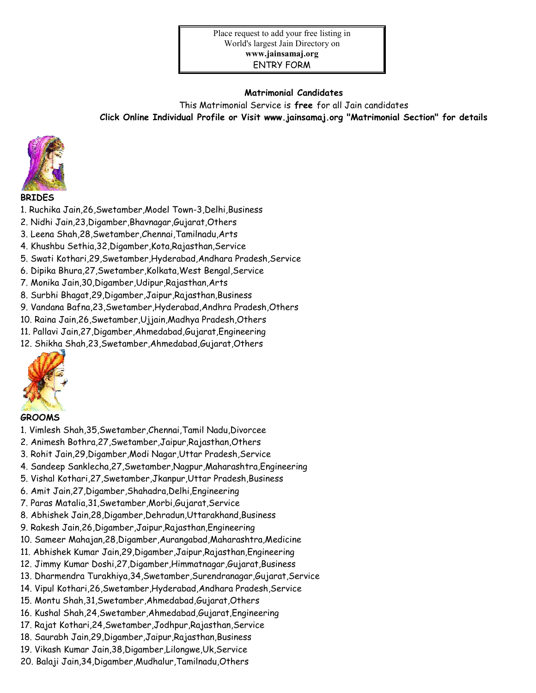#### Matrimonial Candidates

This Matrimonial Service is free for all Jain candidates Click Online Individual Profile or Visit www.jainsamaj.org "Matrimonial Section" for details



#### BRIDES

- 1. Ruchika Jain,26,Swetamber,Model Town-3,Delhi,Business
- 2. Nidhi Jain,23,Digamber,Bhavnagar,Gujarat,Others
- 3. Leena Shah,28,Swetamber,Chennai,Tamilnadu,Arts
- 4. Khushbu Sethia,32,Digamber,Kota,Rajasthan,Service
- 5. Swati Kothari,29,Swetamber,Hyderabad,Andhara Pradesh,Service
- 6. Dipika Bhura,27,Swetamber,Kolkata,West Bengal,Service
- 7. Monika Jain,30,Digamber,Udipur,Rajasthan,Arts
- 8. Surbhi Bhagat,29,Digamber,Jaipur,Rajasthan,Business
- 9. Vandana Bafna,23,Swetamber,Hyderabad,Andhra Pradesh,Others
- 10. Raina Jain,26,Swetamber,Ujjain,Madhya Pradesh,Others
- 11. Pallavi Jain,27,Digamber,Ahmedabad,Gujarat,Engineering
- 12. Shikha Shah,23,Swetamber,Ahmedabad,Gujarat,Others



#### GROOMS

- 1. Vimlesh Shah,35,Swetamber,Chennai,Tamil Nadu,Divorcee
- 2. Animesh Bothra,27,Swetamber,Jaipur,Rajasthan,Others
- 3. Rohit Jain,29,Digamber,Modi Nagar,Uttar Pradesh,Service
- 4. Sandeep Sanklecha,27,Swetamber,Nagpur,Maharashtra,Engineering
- 5. Vishal Kothari,27,Swetamber,Jkanpur,Uttar Pradesh,Business
- 6. Amit Jain,27,Digamber,Shahadra,Delhi,Engineering
- 7. Paras Matalia,31,Swetamber,Morbi,Gujarat,Service
- 8. Abhishek Jain,28,Digamber,Dehradun,Uttarakhand,Business
- 9. Rakesh Jain,26,Digamber,Jaipur,Rajasthan,Engineering
- 10. Sameer Mahajan,28,Digamber,Aurangabad,Maharashtra,Medicine
- 11. Abhishek Kumar Jain,29,Digamber,Jaipur,Rajasthan,Engineering
- 12. Jimmy Kumar Doshi,27,Digamber,Himmatnagar,Gujarat,Business
- 13. Dharmendra Turakhiya,34,Swetamber,Surendranagar,Gujarat,Service
- 14. Vipul Kothari,26,Swetamber,Hyderabad,Andhara Pradesh,Service
- 15. Montu Shah,31,Swetamber,Ahmedabad,Gujarat,Others
- 16. Kushal Shah,24,Swetamber,Ahmedabad,Gujarat,Engineering
- 17. Rajat Kothari,24,Swetamber,Jodhpur,Rajasthan,Service
- 18. Saurabh Jain,29,Digamber,Jaipur,Rajasthan,Business
- 19. Vikash Kumar Jain,38,Digamber,Lilongwe,Uk,Service
- 20. Balaji Jain,34,Digamber,Mudhalur,Tamilnadu,Others